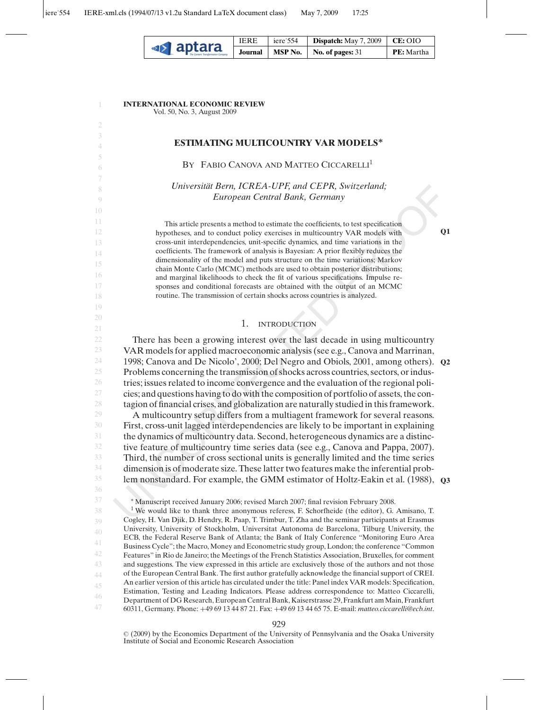|                  | <b>IERE</b> | iere 554 | <b>Dispatch:</b> May 7, 2009 $\qquad \text{CE: OIO}$   |                   |
|------------------|-------------|----------|--------------------------------------------------------|-------------------|
| <b>Az aptara</b> | Journal     |          | $\blacksquare$ MSP No. $\blacksquare$ No. of pages: 31 | <b>PE:</b> Martha |

#### **INTERNATIONAL ECONOMIC REVIEW**

Vol. 50, No. 3, August 2009

#### **ESTIMATING MULTICOUNTRY VAR MODELS***∗*

BY FABIO CANOVA AND MATTEO CICCARELLI<sup>1</sup>

*Universitat Bern, ICREA-UPF, and CEPR, Switzerland; ¨ European Central Bank, Germany*

This article presents a method to estimate the coefficients, to test specification hypotheses, and to conduct policy exercises in multicountry VAR models with cross-unit interdependencies, unit-specific dynamics, and time variations in the coefficients. The framework of analysis is Bayesian: A prior flexibly reduces the dimensionality of the model and puts structure on the time variations; Markov chain Monte Carlo (MCMC) methods are used to obtain posterior distributions; and marginal likelihoods to check the fit of various specifications. Impulse responses and conditional forecasts are obtained with the output of an MCMC routine. The transmission of certain shocks across countries is analyzed.

## 1. INTRODUCTION

There has been a growing interest over the last decade in using multicountry VAR models for applied macroeconomic analysis (see e.g., Canova and Marrinan, 1998; Canova and De Nicolo', 2000; Del Negro and Obiols, 2001, among others). **Q2** Problems concerning the transmission of shocks across countries, sectors, or industries; issues related to income convergence and the evaluation of the regional policies; and questions having to do with the composition of portfolio of assets, the contagion of financial crises, and globalization are naturally studied in this framework.

A multicountry setup differs from a multiagent framework for several reasons. First, cross-unit lagged interdependencies are likely to be important in explaining the dynamics of multicountry data. Second, heterogeneous dynamics are a distinclem nonstandard. For example, the GMM estimator of Holtz-Eakin et al. (1988),  $Q3$ tive feature of multicountry time series data (see e.g., Canova and Pappa, 2007). Third, the number of cross sectional units is generally limited and the time series dimension is of moderate size. These latter two features make the inferential prob-

35 36

46 47

1

2

4

6

9

<sup>∗</sup> Manuscript received January 2006; revised March 2007; final revision February 2008.

<sup>1</sup> We would like to thank three anonymous referess, F. Schorfheide (the editor), G. Amisano, T. Cogley, H. Van Djik, D. Hendry, R. Paap, T. Trimbur, T. Zha and the seminar participants at Erasmus University, University of Stockholm, Universitat Autonoma de Barcelona, Tilburg University, the ECB, the Federal Reserve Bank of Atlanta; the Bank of Italy Conference "Monitoring Euro Area Business Cycle"; the Macro, Money and Econometric study group, London; the conference "Common Features" in Rio de Janeiro; the Meetings of the French Statistics Association, Bruxelles, for comment and suggestions. The view expressed in this article are exclusively those of the authors and not those of the European Central Bank. The first author gratefully acknowledge the financial support of CREI. An earlier version of this article has circulated under the title: Panel index VAR models: Specification, Estimation, Testing and Leading Indicators. Please address correspondence to: Matteo Ciccarelli, Department of DG Research, European Central Bank, Kaiserstrasse 29, Frankfurt am Main, Frankfurt 60311, Germany. Phone: +49 69 13 44 87 21. Fax: +49 69 13 44 65 75. E-mail: *matteo.ciccarelli@ecb.int*.

929

-<sup>C</sup> (2009) by the Economics Department of the University of Pennsylvania and the Osaka University Institute of Social and Economic Research Association

**Q1**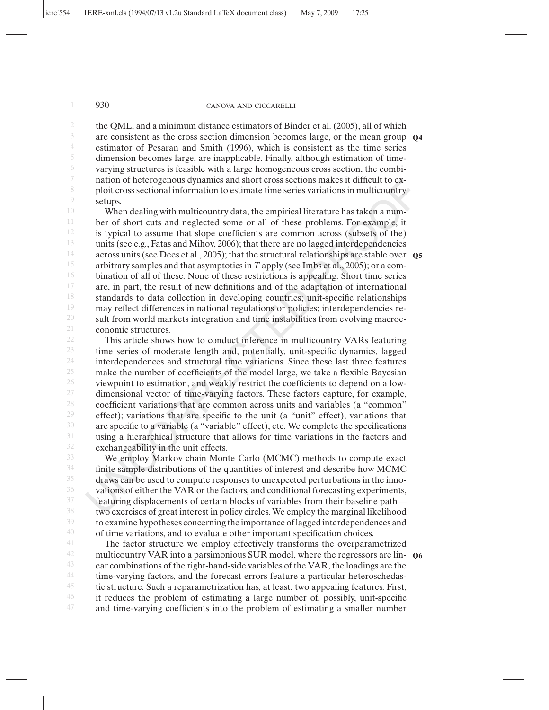## 930 CANOVA AND CICCARELLI

the QML, and a minimum distance estimators of Binder et al. (2005), all of which are consistent as the cross section dimension becomes large, or the mean group **Q4** estimator of Pesaran and Smith (1996), which is consistent as the time series dimension becomes large, are inapplicable. Finally, although estimation of timevarying structures is feasible with a large homogeneous cross section, the combination of heterogenous dynamics and short cross sections makes it difficult to exploit cross sectional information to estimate time series variations in multicountry setups.

10 11 12 13 14 15 16 17 18 19 20 21 When dealing with multicountry data, the empirical literature has taken a number of short cuts and neglected some or all of these problems. For example, it is typical to assume that slope coefficients are common across (subsets of the) units (see e.g., Fatas and Mihov, 2006); that there are no lagged interdependencies across units (see Dees et al., 2005); that the structural relationships are stable over **Q5** arbitrary samples and that asymptotics in *T* apply (see Imbs et al., 2005); or a combination of all of these. None of these restrictions is appealing: Short time series are, in part, the result of new definitions and of the adaptation of international standards to data collection in developing countries; unit-specific relationships may reflect differences in national regulations or policies; interdependencies result from world markets integration and time instabilities from evolving macroeconomic structures.

22 23 24 25 26 27 28 29 30 31 32 This article shows how to conduct inference in multicountry VARs featuring time series of moderate length and, potentially, unit-specific dynamics, lagged interdependences and structural time variations. Since these last three features make the number of coefficients of the model large, we take a flexible Bayesian viewpoint to estimation, and weakly restrict the coefficients to depend on a lowdimensional vector of time-varying factors. These factors capture, for example, coefficient variations that are common across units and variables (a "common" effect); variations that are specific to the unit (a "unit" effect), variations that are specific to a variable (a "variable" effect), etc. We complete the specifications using a hierarchical structure that allows for time variations in the factors and exchangeability in the unit effects.

33 34 35 36 37 39 40 We employ Markov chain Monte Carlo (MCMC) methods to compute exact finite sample distributions of the quantities of interest and describe how MCMC draws can be used to compute responses to unexpected perturbations in the innovations of either the VAR or the factors, and conditional forecasting experiments, featuring displacements of certain blocks of variables from their baseline path two exercises of great interest in policy circles. We employ the marginal likelihood to examine hypotheses concerning the importance of lagged interdependences and of time variations, and to evaluate other important specification choices.

41 42 43 44 45 46 47 The factor structure we employ effectively transforms the overparametrized multicountry VAR into a parsimonious SUR model, where the regressors are lin- **Q6** ear combinations of the right-hand-side variables of the VAR, the loadings are the time-varying factors, and the forecast errors feature a particular heteroschedastic structure. Such a reparametrization has, at least, two appealing features. First, it reduces the problem of estimating a large number of, possibly, unit-specific and time-varying coefficients into the problem of estimating a smaller number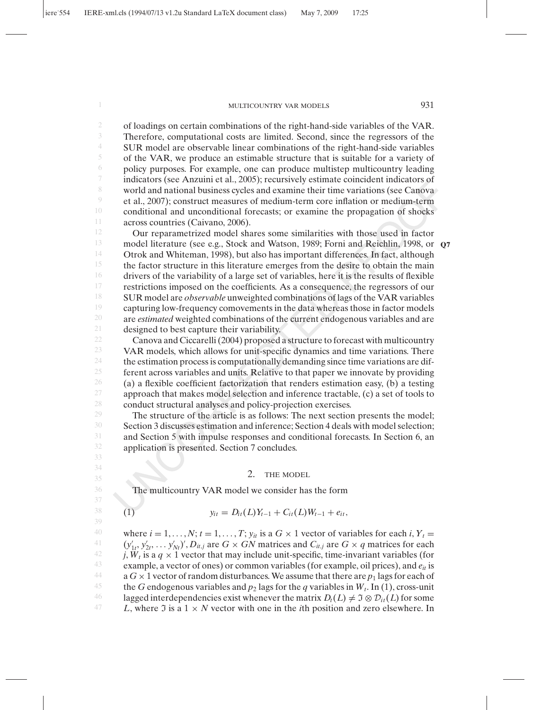3

45 46 47

# MULTICOUNTRY VAR MODELS 931

of loadings on certain combinations of the right-hand-side variables of the VAR. Therefore, computational costs are limited. Second, since the regressors of the SUR model are observable linear combinations of the right-hand-side variables of the VAR, we produce an estimable structure that is suitable for a variety of policy purposes. For example, one can produce multistep multicountry leading indicators (see Anzuini et al., 2005); recursively estimate coincident indicators of world and national business cycles and examine their time variations (see Canova et al., 2007); construct measures of medium-term core inflation or medium-term conditional and unconditional forecasts; or examine the propagation of shocks across countries (Caivano, 2006).

Our reparametrized model shares some similarities with those used in factor model literature (see e.g., Stock and Watson, 1989; Forni and Reichlin, 1998, or **Q7** Otrok and Whiteman, 1998), but also has important differences. In fact, although the factor structure in this literature emerges from the desire to obtain the main drivers of the variability of a large set of variables, here it is the results of flexible restrictions imposed on the coefficients. As a consequence, the regressors of our SUR model are *observable* unweighted combinations of lags of the VAR variables capturing low-frequency comovements in the data whereas those in factor models are *estimated* weighted combinations of the current endogenous variables and are designed to best capture their variability.

Canova and Ciccarelli (2004) proposed a structure to forecast with multicountry VAR models, which allows for unit-specific dynamics and time variations. There the estimation process is computationally demanding since time variations are different across variables and units. Relative to that paper we innovate by providing (a) a flexible coefficient factorization that renders estimation easy, (b) a testing approach that makes model selection and inference tractable, (c) a set of tools to conduct structural analyses and policy-projection exercises.

The structure of the article is as follows: The next section presents the model; Section 3 discusses estimation and inference; Section 4 deals with model selection; and Section 5 with impulse responses and conditional forecasts. In Section 6, an application is presented. Section 7 concludes.

#### 2. THE MODEL

The multicountry VAR model we consider has the form

(1) 
$$
y_{it} = D_{it}(L)Y_{t-1} + C_{it}(L)W_{t-1} + e_{it},
$$

where  $i = 1, \ldots, N; t = 1, \ldots, T; y_{it}$  is a  $G \times 1$  vector of variables for each  $i, Y_t =$  $(y'_{1t}, y'_{2t}, \ldots, y'_{Nt})'$ ,  $D_{it,j}$  are  $G \times GN$  matrices and  $C_{it,j}$  are  $G \times q$  matrices for each  $j, W_t$  is a  $q \times 1$  vector that may include unit-specific, time-invariant variables (for example, a vector of ones) or common variables (for example, oil prices), and  $e_{it}$  is a  $G \times 1$  vector of random disturbances. We assume that there are  $p_1$  lags for each of the *G* endogenous variables and  $p_2$  lags for the *q* variables in  $W_t$ . In (1), cross-unit lagged interdependencies exist whenever the matrix  $D_t(L) \neq \mathfrak{I} \otimes \mathfrak{D}_{it}(L)$  for some *L*, where  $\Im$  is a  $1 \times N$  vector with one in the *i*th position and zero elsewhere. In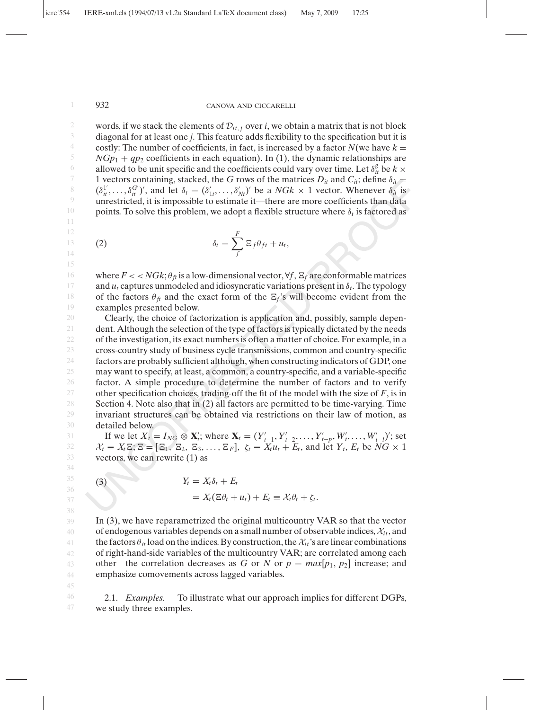words, if we stack the elements of  $\mathcal{D}_{it,j}$  over *i*, we obtain a matrix that is not block diagonal for at least one *j*. This feature adds flexibility to the specification but it is costly: The number of coefficients, in fact, is increased by a factor  $N$ (we have  $k =$  $NGp_1 + qp_2$  coefficients in each equation). In (1), the dynamic relationships are allowed to be unit specific and the coefficients could vary over time. Let  $\delta^g_{it}$  be  $k \times$ 1 vectors containing, stacked, the *G* rows of the matrices  $D_{it}$  and  $C_{it}$ ; define  $\delta_{it}$  =  $(\delta_{it}^{1'}, \ldots, \delta_{it}^{G'})'$ , and let  $\delta_t = (\delta'_{1t}, \ldots, \delta'_{Nt})'$  be a  $NGk \times 1$  vector. Whenever  $\delta_{it}$  is unrestricted, it is impossible to estimate it—there are more coefficients than data points. To solve this problem, we adopt a flexible structure where  $\delta_t$  is factored as

(2) 
$$
\delta_t = \sum_f^F \Xi_f \theta_{ft} + u_t,
$$

where  $F \ll \frac{NGk}{f}$  is a low-dimensional vector,  $\forall f$ ,  $\Xi_f$  are conformable matrices and  $u_t$  captures unmodeled and idiosyncratic variations present in  $\delta_t$ . The typology of the factors  $\theta_{ft}$  and the exact form of the  $\Xi_f$ 's will become evident from the examples presented below.

20 21 22 23 24 25 26 27 28 29 Clearly, the choice of factorization is application and, possibly, sample dependent. Although the selection of the type of factors is typically dictated by the needs of the investigation, its exact numbers is often a matter of choice. For example, in a cross-country study of business cycle transmissions, common and country-specific factors are probably sufficient although, when constructing indicators of GDP, one may want to specify, at least, a common, a country-specific, and a variable-specific factor. A simple procedure to determine the number of factors and to verify other specification choices, trading-off the fit of the model with the size of *F*, is in Section 4. Note also that in (2) all factors are permitted to be time-varying. Time invariant structures can be obtained via restrictions on their law of motion, as detailed below.

If we let  $X_t = I_{NG} \otimes \mathbf{X}'_t$ ; where  $\mathbf{X}_t = (Y'_{t-1}, Y'_{t-2}, \dots, Y'_{t-p}, W'_{t}, \dots, W'_{t-l})'$ ; set  $\mathcal{X}_t \equiv X_t \mathbb{E}; \mathbb{E} = [\mathbb{E}_1, \mathbb{E}_2, \mathbb{E}_3, \dots, \mathbb{E}_F], \ \zeta_t \equiv X_t u_t + E_t$ , and let  $Y_t, E_t$  be  $NG \times 1$ vectors, we can rewrite (1) as

3)  

$$
Y_t = X_t \delta_t + E_t
$$

$$
= X_t (\Xi \theta_t + u_t) + E_t \equiv \mathcal{X}_t \theta_t + \zeta_t.
$$

In (3), we have reparametrized the original multicountry VAR so that the vector of endogenous variables depends on a small number of observable indices,  $\mathcal{X}_{it}$ , and the factors  $\theta_{it}$  load on the indices. By construction, the  $\mathcal{X}_{it}$ 's are linear combinations of right-hand-side variables of the multicountry VAR; are correlated among each other—the correlation decreases as *G* or *N* or  $p = max[p_1, p_2]$  increase; and emphasize comovements across lagged variables.

46 47 2.1. *Examples.* To illustrate what our approach implies for different DGPs, we study three examples.

1

2

4

37

 $\left($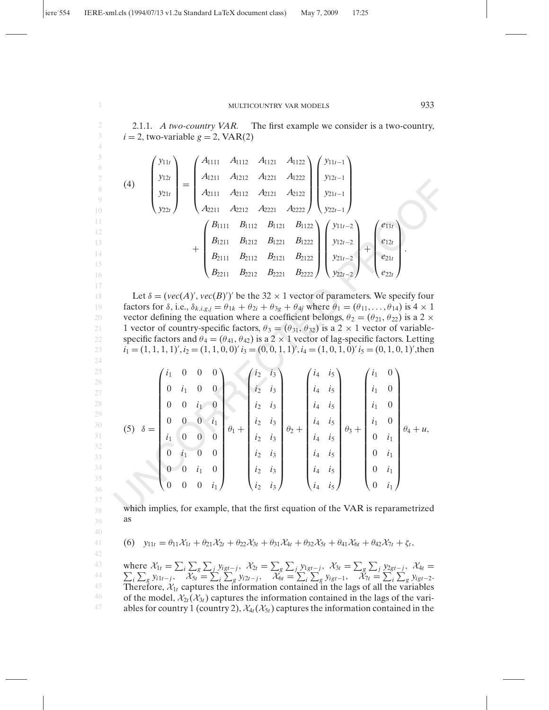2.1.1. *A two-country VAR.* The first example we consider is a two-country,  $i = 2$ , two-variable  $g = 2$ , VAR(2)

$$
(4) \begin{pmatrix} y_{11t} \\ y_{12t} \\ y_{21t} \\ y_{22t} \end{pmatrix} = \begin{pmatrix} A_{1111} & A_{1112} & A_{1121} & A_{1122} \\ A_{1211} & A_{1212} & A_{1221} & A_{1222} \\ A_{2111} & A_{2112} & A_{2121} & A_{2122} \\ A_{2211} & A_{2212} & A_{2221} & A_{2222} \end{pmatrix} \begin{pmatrix} y_{11t-1} \\ y_{12t-1} \\ y_{21t-1} \\ y_{22t-1} \end{pmatrix} + \begin{pmatrix} B_{1111} & B_{1112} & B_{1121} & B_{1122} \\ B_{1211} & B_{1212} & B_{1221} & B_{1222} \\ B_{2111} & B_{2112} & B_{2121} & B_{2122} \\ B_{2211} & B_{2212} & B_{2221} & B_{2222} \end{pmatrix} \begin{pmatrix} y_{11t-2} \\ y_{12t-2} \\ y_{21t-2} \\ y_{21t-2} \end{pmatrix} + \begin{pmatrix} e_{11t} \\ e_{12t} \\ e_{21t} \\ e_{21t} \\ e_{22t} \end{pmatrix}.
$$

Let  $\delta = (vec(A)',vec(B)')'$  be the 32  $\times$  1 vector of parameters. We specify four factors for  $\delta$ , i.e.,  $\delta_{k,i,g,j} = \theta_{1k} + \theta_{2i} + \theta_{3g} + \theta_{4j}$  where  $\theta_1 = (\theta_{11}, \dots, \theta_{14})$  is  $4 \times 1$ vector defining the equation where a coefficient belongs,  $\theta_2 = (\theta_{21}, \theta_{22})$  is a 2  $\times$ 1 vector of country-specific factors,  $\theta_3 = (\theta_{31}, \theta_{32})$  is a 2 × 1 vector of variablespecific factors and  $\theta_4 = (\theta_{41}, \theta_{42})$  is a  $2 \times 1$  vector of lag-specific factors. Letting  $i_1 = (1, 1, 1, 1)$ ',  $i_2 = (1, 1, 0, 0)$ '  $i_3 = (0, 0, 1, 1)$ ',  $i_4 = (1, 0, 1, 0)$ '  $i_5 = (0, 1, 0, 1)$ ', then

$$
(5) \delta = \begin{pmatrix} i_1 & 0 & 0 & 0 \\ 0 & i_1 & 0 & 0 \\ 0 & 0 & i_1 & 0 \\ i_1 & 0 & 0 & 0 \\ 0 & i_1 & 0 & 0 \\ 0 & 0 & i_1 & 0 \\ 0 & 0 & 0 & i_1 \\ 0 & 0 & 0 & i_1 \end{pmatrix} \begin{pmatrix} i_2 & i_3 \\ i_2 & i_3 \\ i_2 & i_3 \\ i_2 & i_3 \\ i_2 & i_3 \\ i_2 & i_3 \\ i_1 & i_2 \\ i_2 & i_3 \end{pmatrix} \begin{pmatrix} i_4 & i_5 \\ i_4 & i_5 \\ i_4 & i_5 \\ i_4 & i_5 \\ i_4 & i_5 \\ i_4 & i_5 \\ i_4 & i_5 \\ i_4 & i_5 \end{pmatrix} \begin{pmatrix} i_1 & 0 \\ i_1 & 0 \\ i_1 & 0 \\ 0 & i_1 \\ 0 & i_1 \\ 0 & i_1 \\ 0 & i_1 \\ 0 & i_1 \\ 0 & i_1 \end{pmatrix} \theta_4 + u,
$$

which implies, for example, that the first equation of the VAR is reparametrized as

39 40

42 43

45 46 47

38

1

2 3 4

6

8

$$
(6) \quad y_{11t} = \theta_{11} \mathcal{X}_{1t} + \theta_{21} \mathcal{X}_{2t} + \theta_{22} \mathcal{X}_{3t} + \theta_{31} \mathcal{X}_{4t} + \theta_{32} \mathcal{X}_{5t} + \theta_{41} \mathcal{X}_{6t} + \theta_{42} \mathcal{X}_{7t} + \zeta_t,
$$

where  $\mathcal{X}_{1t} = \sum_i \sum_g \sum_j y_{igt-j}$ ,  $\mathcal{X}_{2t} = \sum_g \sum_j y_{1gt-j}$ ,  $\mathcal{X}_{3t} = \sum_g \sum_j y_{1gt-j}$ ,  $\mathcal{X}_{3t} = \sum_g \sum_j y_{1gt-j}$ ,  $\mathcal{X}_{5t} = \sum_i \sum_o y_{1gt-1}$ ,  $\mathcal{X}_{7t} =$  $y_{2gt-j}$ ,  $\mathcal{X}_{4t} =$ *i*<sub>*z*</sub> *y*<sub>i1*t*−*j*</sub>,  $\chi_{5t} = \sum_i \sum_g y_{i2t-1}$ ,  $\chi_{6t} = \sum_i \sum_g y_{igt-1}$ ,  $\chi_{7t} = \sum_i \sum_g y_{igt-2}$ . Therefore,  $X_{1t}$  captures the information contained in the lags of all the variables of the model,  $\mathcal{X}_{2t}(\mathcal{X}_{3t})$  captures the information contained in the lags of the variables for country 1 (country 2),  $\mathcal{X}_{4t}(\mathcal{X}_{5t})$  captures the information contained in the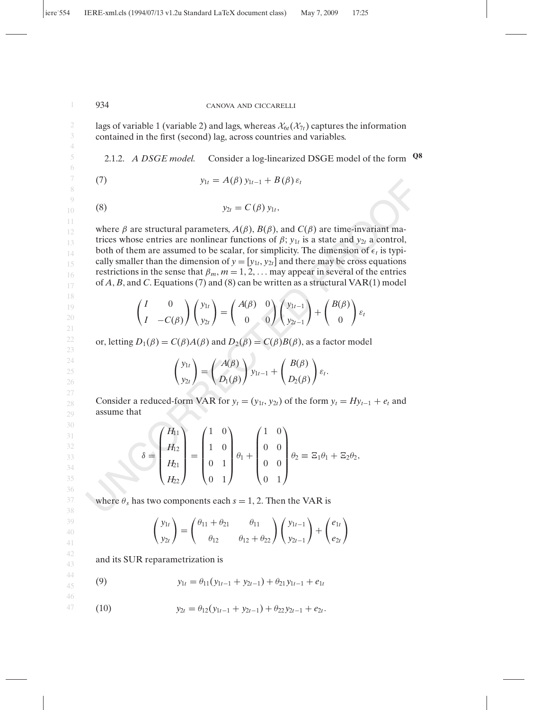lags of variable 1 (variable 2) and lags, whereas  $\mathcal{X}_{6t}(\mathcal{X}_{7t})$  captures the information contained in the first (second) lag, across countries and variables.

**Q8** 2.1.2. *A DSGE model.* Consider a log-linearized DSGE model of the form

(7) 
$$
y_{1t} = A(\beta) y_{1t-1} + B(\beta) \varepsilon_t
$$

(8)  $y_{2t} = C(\beta) y_{1t}$ ,

where  $\beta$  are structural parameters,  $A(\beta)$ ,  $B(\beta)$ , and  $C(\beta)$  are time-invariant matrices whose entries are nonlinear functions of  $\beta$ ;  $y_{1t}$  is a state and  $y_{2t}$  a control, both of them are assumed to be scalar, for simplicity. The dimension of  $\epsilon_t$  is typically smaller than the dimension of  $y = [y_{1t}, y_{2t}]$  and there may be cross equations restrictions in the sense that  $\beta_m$ ,  $m = 1, 2, \dots$  may appear in several of the entries of *A*, *B*, and *C*. Equations (7) and (8) can be written as a structural VAR(1) model

$$
\begin{pmatrix} I & 0 \ I & -C(\beta) \end{pmatrix} \begin{pmatrix} y_{1t} \ y_{2t} \end{pmatrix} = \begin{pmatrix} A(\beta) & 0 \ 0 & 0 \end{pmatrix} \begin{pmatrix} y_{1t-1} \ y_{2t-1} \end{pmatrix} + \begin{pmatrix} B(\beta) \ 0 \end{pmatrix} \varepsilon_t
$$

or, letting  $D_1(\beta) = C(\beta)A(\beta)$  and  $D_2(\beta) = C(\beta)B(\beta)$ , as a factor model

$$
\begin{pmatrix} y_{1t} \\ y_{2t} \end{pmatrix} = \begin{pmatrix} A(\beta) \\ D_1(\beta) \end{pmatrix} y_{1t-1} + \begin{pmatrix} B(\beta) \\ D_2(\beta) \end{pmatrix} \varepsilon_t.
$$

Consider a reduced-form VAR for  $y_t = (y_{1t}, y_{2t})$  of the form  $y_t = Hy_{t-1} + e_t$  and assume that

$$
\delta = \begin{pmatrix} H_{11} \\ H_{12} \\ H_{21} \\ H_{22} \end{pmatrix} = \begin{pmatrix} 1 & 0 \\ 1 & 0 \\ 0 & 1 \\ 0 & 1 \end{pmatrix} \theta_1 + \begin{pmatrix} 1 & 0 \\ 0 & 0 \\ 0 & 0 \\ 0 & 1 \end{pmatrix} \theta_2 \equiv \Xi_1 \theta_1 + \Xi_2 \theta_2,
$$

where  $\theta_s$  has two components each  $s = 1, 2$ . Then the VAR is

$$
\begin{pmatrix} y_{1t} \\ y_{2t} \end{pmatrix} = \begin{pmatrix} \theta_{11} + \theta_{21} & \theta_{11} \\ \theta_{12} & \theta_{12} + \theta_{22} \end{pmatrix} \begin{pmatrix} y_{1t-1} \\ y_{2t-1} \end{pmatrix} + \begin{pmatrix} e_{1t} \\ e_{2t} \end{pmatrix}
$$

and its SUR reparametrization is

(9) 
$$
y_{1t} = \theta_{11}(y_{1t-1} + y_{2t-1}) + \theta_{21}y_{1t-1} + e_{1t}
$$

45 46 47

1

(10) 
$$
y_{2t} = \theta_{12}(y_{1t-1} + y_{2t-1}) + \theta_{22}y_{2t-1} + e_{2t}.
$$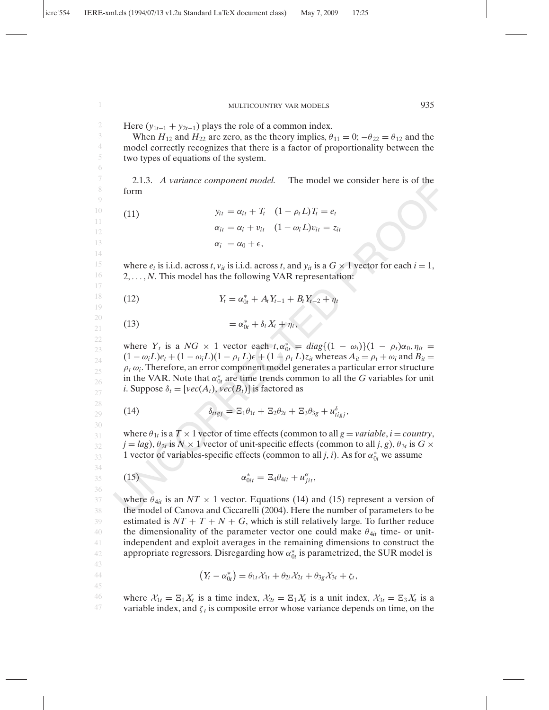Here  $(y_{1t-1} + y_{2t-1})$  plays the role of a common index.

When  $H_{12}$  and  $H_{22}$  are zero, as the theory implies,  $\theta_{11} = 0$ ;  $-\theta_{22} = \theta_{12}$  and the model correctly recognizes that there is a factor of proportionality between the two types of equations of the system.

2.1.3. *A variance component model.* The model we consider here is of the form

1

2 3 4

8 9

32

34 35 36

38 39 40

42

46 47

 $y_{it} = \alpha_{it} + T_t \quad (1 - \rho_t L) T_t = e_t$  $\alpha_{it} = \alpha_i + v_{it} \quad (1 - \omega_i L)v_{it} = z_{it}$  $\alpha_i = \alpha_0 + \epsilon$ , (11)

where  $e_t$  is i.i.d. across *t*,  $v_{it}$  is i.i.d. across *t*, and  $y_{it}$  is a  $G \times 1$  vector for each  $i = 1$ , 2, ... , *N*. This model has the following VAR representation:

(12) 
$$
Y_t = \alpha_{0t}^* + A_t Y_{t-1} + B_t Y_{t-2} + \eta_t
$$

$$
(13) \qquad \qquad = \alpha_{0t}^* + \delta_t X_t + \eta_t,
$$

where  $Y_t$  is a  $NG \times 1$  vector each  $t, \alpha_{0t}^* = diag\{(1 - \omega_i)\}(1 - \rho_t)\alpha_{0t}, \eta_t =$  $(1 - \omega_i L)e_t + (1 - \omega_i L)(1 - \rho_t L)\epsilon + (1 - \rho_t L)z_{it}$  whereas  $A_{it} = \rho_t + \omega_i$  and  $B_{it} =$  $\rho_t \omega_i$ . Therefore, an error component model generates a particular error structure in the VAR. Note that  $\alpha^*_{0t}$  are time trends common to all the *G* variables for unit *i*. Suppose  $\delta_t = [vec(A_t), vec(B_t)]$  is factored as

(14) 
$$
\delta_{t\bar{t}g\bar{j}} = \Xi_1 \theta_{1t} + \Xi_2 \theta_{2\bar{i}} + \Xi_3 \theta_{3g} + u_{t\bar{t}g\bar{j}}^{\delta},
$$

where  $\theta_{1t}$  is a  $T \times 1$  vector of time effects (common to all  $g = variable$ ,  $i = country$ ,  $j = lag$ ),  $\theta_{2t}$  is  $N \times 1$  vector of unit-specific effects (common to all *j*, *g*),  $\theta_{3t}$  is  $G \times$ 1 vector of variables-specific effects (common to all *j*, *i*). As for  $\alpha_{0t}^*$  we assume

$$
\alpha_{0it}^* = \Xi_4 \theta_{4it} + u_{jit}^{\alpha},
$$

where  $\theta_{4it}$  is an  $NT \times 1$  vector. Equations (14) and (15) represent a version of the model of Canova and Ciccarelli (2004). Here the number of parameters to be estimated is  $NT + T + N + G$ , which is still relatively large. To further reduce the dimensionality of the parameter vector one could make  $\theta_{4it}$  time- or unitindependent and exploit averages in the remaining dimensions to construct the appropriate regressors. Disregarding how  $\alpha_{0t}^*$  is parametrized, the SUR model is

$$
(Y_t - \alpha_{0t}^*) = \theta_{1t} \mathcal{X}_{1t} + \theta_{2i} \mathcal{X}_{2t} + \theta_{3g} \mathcal{X}_{3t} + \zeta_t,
$$

where  $X_{1t} = \Xi_1 X_t$  is a time index,  $X_{2t} = \Xi_1 X_t$  is a unit index,  $X_{3t} = \Xi_3 X_t$  is a variable index, and  $\zeta_t$  is composite error whose variance depends on time, on the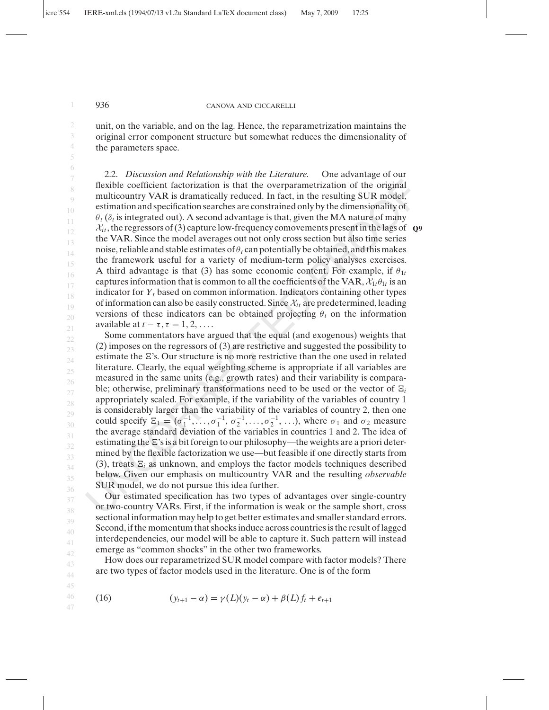unit, on the variable, and on the lag. Hence, the reparametrization maintains the original error component structure but somewhat reduces the dimensionality of the parameters space.

2.2. *Discussion and Relationship with the Literature.* One advantage of our flexible coefficient factorization is that the overparametrization of the original multicountry VAR is dramatically reduced. In fact, in the resulting SUR model, estimation and specification searches are constrained only by the dimensionality of  $\theta_t$  ( $\delta_t$  is integrated out). A second advantage is that, given the MA nature of many  $\chi$ <sup>*it*</sup>, the regressors of (3) capture low-frequency comovements present in the lags of **Q9** the VAR. Since the model averages out not only cross section but also time series noise, reliable and stable estimates of  $\theta_t$  can potentially be obtained, and this makes the framework useful for a variety of medium-term policy analyses exercises. A third advantage is that (3) has some economic content. For example, if  $\theta_{1t}$ captures information that is common to all the coefficients of the VAR,  $\mathcal{X}_{1t} \theta_{1t}$  is an indicator for  $Y_t$  based on common information. Indicators containing other types of information can also be easily constructed. Since  $\mathcal{X}_{it}$  are predetermined, leading versions of these indicators can be obtained projecting  $\theta_t$  on the information available at  $t - \tau$ ,  $\tau = 1, 2, \ldots$ .

22 23 24 25 26 27 28 29 31 32 33 34 35 Some commentators have argued that the equal (and exogenous) weights that (2) imposes on the regressors of (3) are restrictive and suggested the possibility to estimate the E's. Our structure is no more restrictive than the one used in related literature. Clearly, the equal weighting scheme is appropriate if all variables are measured in the same units (e.g., growth rates) and their variability is comparable; otherwise, preliminary transformations need to be used or the vector of  $\Xi_i$ appropriately scaled. For example, if the variability of the variables of country 1 is considerably larger than the variability of the variables of country 2, then one could specify  $\Xi_1 = (\sigma_1^{-1}, \ldots, \sigma_1^{-1}, \sigma_2^{-1}, \ldots, \sigma_2^{-1}, \ldots)$ , where  $\sigma_1$  and  $\sigma_2$  measure the average standard deviation of the variables in countries 1 and 2. The idea of estimating the  $\Xi$ 's is a bit foreign to our philosophy—the weights are a priori determined by the flexible factorization we use—but feasible if one directly starts from  $(3)$ , treats  $\Xi_i$  as unknown, and employs the factor models techniques described below. Given our emphasis on multicountry VAR and the resulting *observable* SUR model, we do not pursue this idea further.

Our estimated specification has two types of advantages over single-country or two-country VARs. First, if the information is weak or the sample short, cross sectional information may help to get better estimates and smaller standard errors. Second, if the momentum that shocks induce across countries is the result of lagged interdependencies, our model will be able to capture it. Such pattern will instead emerge as "common shocks" in the other two frameworks.

How does our reparametrized SUR model compare with factor models? There are two types of factor models used in the literature. One is of the form

37

- 46 47
- (16)  $(y_{t+1} \alpha) = \gamma(L)(y_t \alpha) + \beta(L) f_t + e_{t+1}$

1

2 3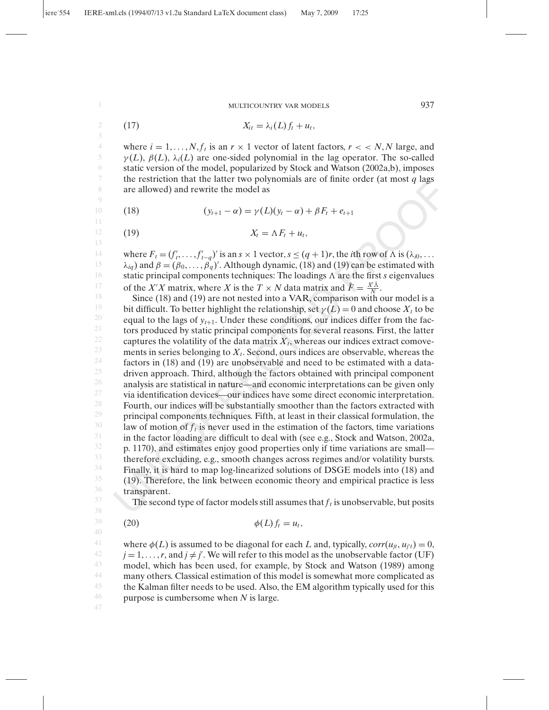1

3

38 39 40

42 43

45 46 47 (17)  $X_{it} = \lambda_i(L) f_t + u_t,$ 

where  $i = 1, \ldots, N, f_t$  is an  $r \times 1$  vector of latent factors,  $r \leq N, N$  large, and  $\gamma(L)$ ,  $\beta(L)$ ,  $\lambda_i(L)$  are one-sided polynomial in the lag operator. The so-called static version of the model, popularized by Stock and Watson (2002a,b), imposes the restriction that the latter two polynomials are of finite order (at most *q* lags are allowed) and rewrite the model as

(18) 
$$
(y_{t+1} - \alpha) = \gamma(L)(y_t - \alpha) + \beta F_t + e_{t+1}
$$

$$
(19) \t\t X_t = \Lambda F_t + u_t,
$$

where  $F_t = (f'_t, \ldots, f'_{t-q})'$  is an  $s \times 1$  vector,  $s \le (q+1)r$ , the *i*th row of  $\Lambda$  is  $(\lambda_{i0}, \ldots)$  $\lambda_{iq}$ ) and  $\beta = (\beta_0, \ldots, \beta_q)'$ . Although dynamic, (18) and (19) can be estimated with static principal components techniques: The loadings  $\Lambda$  are the first  $s$  eigenvalues of the *X'X* matrix, where *X* is the  $T \times N$  data matrix and  $\hat{F} = \frac{X\hat{\Lambda}}{N}$ .

Since (18) and (19) are not nested into a VAR, comparison with our model is a bit difficult. To better highlight the relationship, set  $\gamma(L) = 0$  and choose  $X_t$  to be equal to the lags of  $y_{t+1}$ . Under these conditions, our indices differ from the factors produced by static principal components for several reasons. First, the latter captures the volatility of the data matrix  $X_t$ , whereas our indices extract comovements in series belonging to *Xt*. Second, ours indices are observable, whereas the factors in (18) and (19) are unobservable and need to be estimated with a datadriven approach. Third, although the factors obtained with principal component analysis are statistical in nature—and economic interpretations can be given only via identification devices—our indices have some direct economic interpretation. Fourth, our indices will be substantially smoother than the factors extracted with principal components techniques. Fifth, at least in their classical formulation, the law of motion of  $f_t$  is never used in the estimation of the factors, time variations in the factor loading are difficult to deal with (see e.g., Stock and Watson, 2002a, p. 1170), and estimates enjoy good properties only if time variations are small therefore excluding, e.g., smooth changes across regimes and/or volatility bursts. Finally, it is hard to map log-linearized solutions of DSGE models into (18) and (19). Therefore, the link between economic theory and empirical practice is less transparent.

The second type of factor models still assumes that  $f_t$  is unobservable, but posits

$$
\phi(L) f_t = u_t,
$$

where  $\phi(L)$  is assumed to be diagonal for each *L* and, typically,  $corr(u_{it}, u_{it}) = 0$ ,  $j = 1, \ldots, r$ , and  $j \neq j'$ . We will refer to this model as the unobservable factor (UF) model, which has been used, for example, by Stock and Watson (1989) among many others. Classical estimation of this model is somewhat more complicated as the Kalman filter needs to be used. Also, the EM algorithm typically used for this purpose is cumbersome when *N* is large.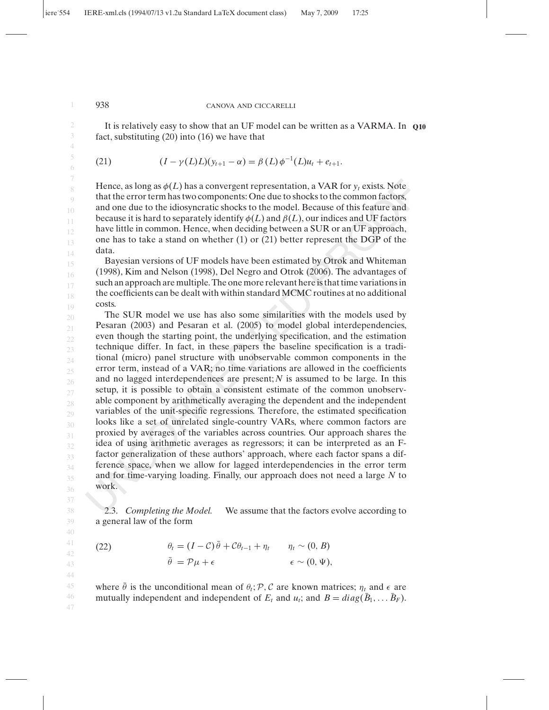It is relatively easy to show that an UF model can be written as a VARMA. In **Q10** fact, substituting (20) into (16) we have that

(21) 
$$
(I - \gamma(L)L)(y_{t+1} - \alpha) = \beta(L)\phi^{-1}(L)u_t + e_{t+1}.
$$

Hence, as long as  $\phi(L)$  has a convergent representation, a VAR for  $y_t$  exists. Note that the error term has two components: One due to shocks to the common factors, and one due to the idiosyncratic shocks to the model. Because of this feature and because it is hard to separately identify  $\phi(L)$  and  $\beta(L)$ , our indices and UF factors have little in common. Hence, when deciding between a SUR or an UF approach, one has to take a stand on whether (1) or (21) better represent the DGP of the data.

Bayesian versions of UF models have been estimated by Otrok and Whiteman (1998), Kim and Nelson (1998), Del Negro and Otrok (2006). The advantages of such an approach are multiple. The one more relevant here is that time variations in the coefficients can be dealt with within standard MCMC routines at no additional costs.

20 21 22 23 24 25 26 27 28 29 31 32 33 35 36 The SUR model we use has also some similarities with the models used by Pesaran (2003) and Pesaran et al. (2005) to model global interdependencies, even though the starting point, the underlying specification, and the estimation technique differ. In fact, in these papers the baseline specification is a traditional (micro) panel structure with unobservable common components in the error term, instead of a VAR; no time variations are allowed in the coefficients and no lagged interdependences are present; *N* is assumed to be large. In this setup, it is possible to obtain a consistent estimate of the common unobservable component by arithmetically averaging the dependent and the independent variables of the unit-specific regressions. Therefore, the estimated specification looks like a set of unrelated single-country VARs, where common factors are proxied by averages of the variables across countries. Our approach shares the idea of using arithmetic averages as regressors; it can be interpreted as an Ffactor generalization of these authors' approach, where each factor spans a difference space, when we allow for lagged interdependencies in the error term and for time-varying loading. Finally, our approach does not need a large *N* to work.

2.3. *Completing the Model.* We assume that the factors evolve according to a general law of the form

(22) 
$$
\theta_t = (I - C)\bar{\theta} + C\theta_{t-1} + \eta_t \qquad \eta_t \sim (0, B)
$$

$$
\bar{\theta} = \mathcal{P}\mu + \epsilon \qquad \epsilon \sim (0, \Psi),
$$

where  $\bar{\theta}$  is the unconditional mean of  $\theta_t$ ;  $\mathcal{P}$ ,  $\mathcal{C}$  are known matrices;  $\eta_t$  and  $\epsilon$  are mutually independent and independent of  $E_t$  and  $u_t$ ; and  $B = diag(\bar{B}_1, \ldots \bar{B}_F)$ .

1

37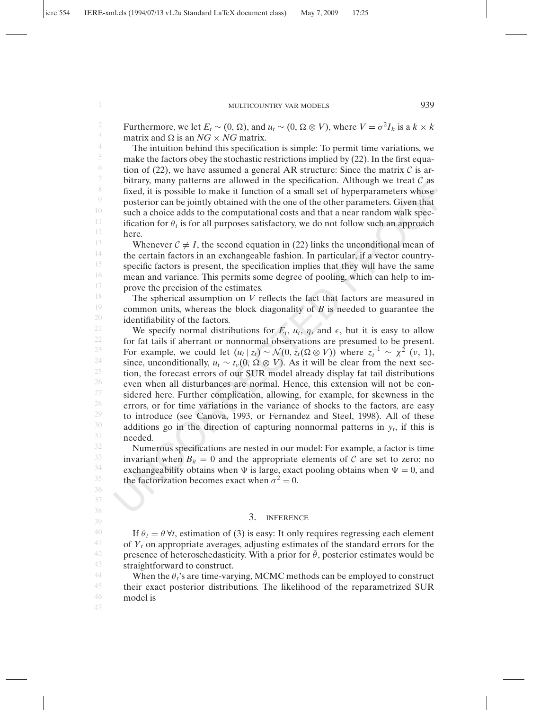Furthermore, we let  $E_t \sim (0, \Omega)$ , and  $u_t \sim (0, \Omega \otimes V)$ , where  $V = \sigma^2 I_k$  is a  $k \times k$ matrix and  $\Omega$  is an *NG* × *NG* matrix.

The intuition behind this specification is simple: To permit time variations, we make the factors obey the stochastic restrictions implied by (22). In the first equation of (22), we have assumed a general AR structure: Since the matrix  $\mathcal C$  is arbitrary, many patterns are allowed in the specification. Although we treat  $\mathcal C$  as fixed, it is possible to make it function of a small set of hyperparameters whose posterior can be jointly obtained with the one of the other parameters. Given that such a choice adds to the computational costs and that a near random walk specification for  $\theta_t$  is for all purposes satisfactory, we do not follow such an approach here.

Whenever  $C \neq I$ , the second equation in (22) links the unconditional mean of the certain factors in an exchangeable fashion. In particular, if a vector countryspecific factors is present, the specification implies that they will have the same mean and variance. This permits some degree of pooling, which can help to improve the precision of the estimates.

The spherical assumption on *V* reflects the fact that factors are measured in common units, whereas the block diagonality of *B* is needed to guarantee the identifiability of the factors.

We specify normal distributions for  $E_t$ ,  $u_t$ ,  $\eta$ , and  $\epsilon$ , but it is easy to allow for fat tails if aberrant or nonnormal observations are presumed to be present. For example, we could let  $(u_t | z_t) \sim \mathcal{N}(0, z_t(\Omega \otimes V))$  where  $z_t^{-1} \sim \chi^2(v, 1)$ , since, unconditionally,  $u_t \sim t_v(0, \Omega \otimes V)$ . As it will be clear from the next section, the forecast errors of our SUR model already display fat tail distributions even when all disturbances are normal. Hence, this extension will not be considered here. Further complication, allowing, for example, for skewness in the errors, or for time variations in the variance of shocks to the factors, are easy to introduce (see Canova, 1993, or Fernandez and Steel, 1998). All of these additions go in the direction of capturing nonnormal patterns in  $y_t$ , if this is needed.

Numerous specifications are nested in our model: For example, a factor is time invariant when  $B_{it} = 0$  and the appropriate elements of C are set to zero; no exchangeability obtains when  $\Psi$  is large, exact pooling obtains when  $\Psi = 0$ , and the factorization becomes exact when  $\sigma^2 = 0$ .

## 3. INFERENCE

If  $\theta_t = \theta \forall t$ , estimation of (3) is easy: It only requires regressing each element of *Yt* on appropriate averages, adjusting estimates of the standard errors for the presence of heteroschedasticity. With a prior for  $\theta$ , posterior estimates would be straightforward to construct.

When the  $\theta_t$ 's are time-varying, MCMC methods can be employed to construct their exact posterior distributions. The likelihood of the reparametrized SUR model is

1

2 3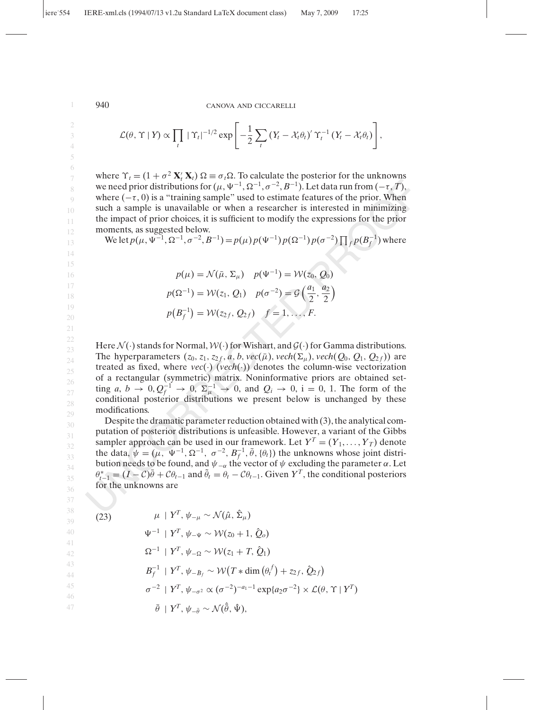2

4

## 940 CANOVA AND CICCARELLI

$$
\mathcal{L}(\theta, \Upsilon | Y) \propto \prod_t |\Upsilon_t|^{-1/2} \exp \left[ -\frac{1}{2} \sum_t (Y_t - \mathcal{X}_t \theta_t)' \Upsilon_t^{-1} (Y_t - \mathcal{X}_t \theta_t) \right],
$$

where  $\Upsilon_t = (1 + \sigma^2 \mathbf{X}_t' \mathbf{X}_t) \Omega \equiv \sigma_t \Omega$ . To calculate the posterior for the unknowns we need prior distributions for  $(\mu, \Psi^{-1}, \Omega^{-1}, \sigma^{-2}, B^{-1})$ . Let data run from  $(-\tau, T)$ , where  $(-\tau, 0)$  is a "training sample" used to estimate features of the prior. When such a sample is unavailable or when a researcher is interested in minimizing the impact of prior choices, it is sufficient to modify the expressions for the prior moments, as suggested below.

We let 
$$
p(\mu, \Psi^{-1}, \Omega^{-1}, \sigma^{-2}, B^{-1}) = p(\mu) p(\Psi^{-1}) p(\Omega^{-1}) p(\sigma^{-2}) \prod_f p(B_f^{-1})
$$
 where

$$
p(\mu) = \mathcal{N}(\bar{\mu}, \Sigma_{\mu}) \quad p(\Psi^{-1}) = \mathcal{W}(z_0, Q_0)
$$
  

$$
p(\Omega^{-1}) = \mathcal{W}(z_1, Q_1) \quad p(\sigma^{-2}) = \mathcal{G}\left(\frac{a_1}{2}, \frac{a_2}{2}\right)
$$
  

$$
p(B_f^{-1}) = \mathcal{W}(z_2_f, Q_{2f}) \quad f = 1, ..., F.
$$

Here  $\mathcal{N}(\cdot)$  stands for Normal,  $\mathcal{W}(\cdot)$  for Wishart, and  $\mathcal{G}(\cdot)$  for Gamma distributions. The hyperparameters  $(z_0, z_1, z_2, a, b, vec(\bar{\mu}), vec(h(\Sigma_{\mu}), vec(h(Q_0, Q_1, Q_2, f))$  are treated as fixed, where  $vec(\cdot)$  ( $vech(\cdot)$ ) denotes the column-wise vectorization of a rectangular (symmetric) matrix. Noninformative priors are obtained setting *a*, *b*  $\rightarrow$  0,  $Q_f^{-1} \rightarrow$  0,  $\Sigma_{\mu}^{-1} \rightarrow$  0, and  $Q_i \rightarrow$  0, i = 0, 1. The form of the conditional posterior distributions we present below is unchanged by these modifications.

Despite the dramatic parameter reduction obtained with (3), the analytical computation of posterior distributions is unfeasible. However, a variant of the Gibbs sampler approach can be used in our framework. Let  $Y^T = (Y_1, \ldots, Y_T)$  denote the data,  $\psi = (\mu, \ \Psi^{-1}, \Omega^{-1}, \ \sigma^{-2}, B_f^{-1}, \bar{\theta}, \{\theta_t\})$  the unknowns whose joint distribution needs to be found, and  $\psi_{-\alpha}$  the vector of  $\psi$  excluding the parameter  $\alpha.$  Let  $\theta_{t-1}^* = (I - C)\bar{\theta} + C\theta_{t-1}$  and  $\tilde{\theta}_t = \theta_t - C\theta_{t-1}$ . Given  $Y^T$ , the conditional posteriors for the unknowns are

(23)

46 47

$$
\mu \, \mid Y^T, \psi_{-\mu} \sim \mathcal{N}(\hat{\mu}, \, \hat{\Sigma}_\mu)
$$

$$
\Psi^{-1} \mid Y^T, \psi_{-\Psi} \sim \mathcal{W}(z_0 + 1, \hat{Q}_o)
$$
  

$$
\Omega^{-1} \mid Y^T, \psi_{-\Omega} \sim \mathcal{W}(z_1 + T, \hat{Q}_1)
$$

$$
B_f^{-1}\,\mid Y^T,\psi_{-\tilde{B}_f} \sim \mathcal{W}\bigl(T*\dim\bigl(\theta_t^{\,f}\bigr)+z_{2\,f},\,\hat{Q}_{2\,f}\bigr)
$$

$$
\sigma^{-2} \mid Y^T, \psi_{-\sigma^2} \propto (\sigma^{-2})^{-a_1-1} \exp\{a_2\sigma^{-2}\} \times \mathcal{L}(\theta, \Upsilon \mid Y^T)
$$

 $\bar{\theta} + Y^T, \psi_{-\bar{\theta}} \sim \mathcal{N}(\hat{\bar{\theta}}, \hat{\Psi}),$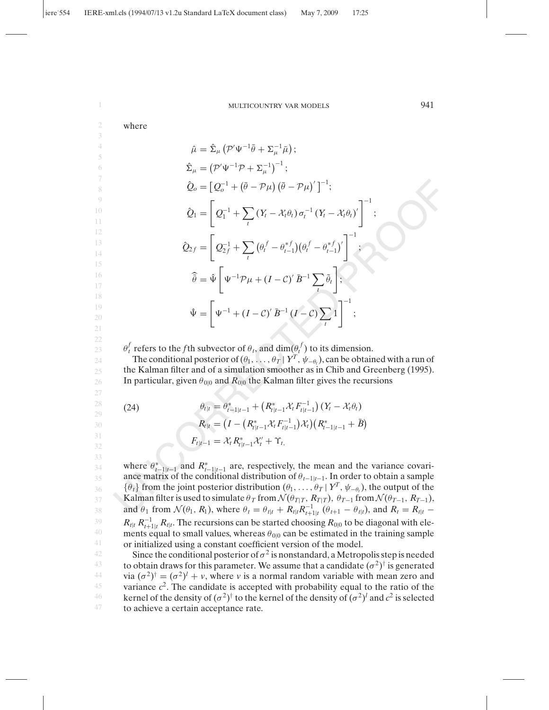2

where

1

3

$$
\begin{array}{c}\n5 \\
6 \\
7 \\
8\n\end{array}
$$

9

13

29

32

34 35 36

38 39 40

42

45 46 47

 $\hat{\mu} = \hat{\Sigma}_{\mu} \left( \mathcal{P}' \Psi^{-1} \bar{\theta} + \Sigma_{\mu}^{-1} \bar{\mu} \right);$  $\hat{\Sigma}_{\mu} = (\mathcal{P}' \Psi^{-1} \mathcal{P} + \Sigma_{\mu}^{-1})^{-1};$  $\hat{\mathcal{Q}}_{o}=\left[\mathcal{Q}_{o}^{-1}+\left(\bar{\theta}-\mathcal{P}\mu\right)\left(\bar{\theta}-\mathcal{P}\mu\right)'\right]^{-1};$  $\hat{Q}_1 = \left[ Q_1^{-1} + \sum_t$  $\left(Y_t - \mathcal{X}_t \theta_t\right) \sigma_t^{-1} \left(Y_t - \mathcal{X}_t \theta_t\right)'\bigg]^{-1}$ ;  $\hat{Q}_{2f} = \left[ Q_{2f}^{-1} + \sum_{t} \right]$  $(\theta_t^f - \theta_{t-1}^{*f})(\theta_t^f - \theta_{t-1}^{*f})'$  $7^{-1}$ ;  $\widehat{\bar{\theta}} = \hat{\Psi} \left[ \Psi^{-1} \mathcal{P} \mu + (I - \mathcal{C})' \,\bar{B}^{-1} \sum \right]$ *t*  $\tilde{\theta}_t$ ⅂ ;  $\hat{\Psi} = \left[ \Psi^{-1} + (I - \mathcal{C})' \bar{B}^{-1} (I - \mathcal{C}) \sum_{\Psi} \right]$ *t* 1  $7^{-1}$ ;

 $\theta_t^f$  refers to the *f*th subvector of  $\theta_t$ , and dim( $\theta_t^f$ ) to its dimension.

The conditional posterior of  $(\theta_1, \ldots, \theta_T | Y^T, \psi_{-\theta_t})$ , can be obtained with a run of the Kalman filter and of a simulation smoother as in Chib and Greenberg (1995). In particular, given  $\theta_{0|0}$  and  $R_{0|0}$  the Kalman filter gives the recursions

(24)

$$
\theta_{t|t} = \theta_{t-1|t-1}^{*} + (R_{t|t-1}^{*} \mathcal{X}_{t} F_{t|t-1}^{-1}) (Y_{t} - \mathcal{X}_{t} \theta_{t})
$$
\n
$$
R_{t|t} = (I - (R_{t|t-1}^{*} \mathcal{X}_{t} F_{t|t-1}^{-1}) \mathcal{X}_{t}) (R_{t-1|t-1}^{*} + \bar{B})
$$
\n
$$
F_{t|t-1} = \mathcal{X}_{t} R_{t|t-1}^{*} \mathcal{X}'_{t} + \Upsilon_{t}
$$

where  $\theta_{t-1|t-1}^*$  and  $R_{t-1|t-1}^*$  are, respectively, the mean and the variance covariance matrix of the conditional distribution of  $\theta_{t-1|t-1}$ . In order to obtain a sample  ${\lbrace \theta_t \rbrace}$  from the joint posterior distribution ( $\theta_1, \ldots, \theta_T | Y^T, \psi_{-\theta_t}$ ), the output of the Kalman filter is used to simulate  $\theta_T$  from  $\mathcal{N}(\theta_{T|T}, R_{T|T})$ ,  $\theta_{T-1}$  from  $\mathcal{N}(\theta_{T-1}, R_{T-1})$ , and  $\theta_1$  from  $\mathcal{N}(\theta_1, R_1)$ , where  $\theta_t = \theta_{t|t} + R_{t|t}R_{t+1|t}^{-1}$  ( $\theta_{t+1} - \theta_{t|t}$ ), and  $R_t = R_{t|t}$  –  $R_{t|t} R_{t+1|t}^{-1} R_{t|t}$ . The recursions can be started choosing  $R_{0|0}$  to be diagonal with elements equal to small values, whereas  $\theta_{0|0}$  can be estimated in the training sample or initialized using a constant coefficient version of the model.

Since the conditional posterior of  $\sigma^2$  is nonstandard, a Metropolis step is needed to obtain draws for this parameter. We assume that a candidate  $(\sigma^2)^{\dagger}$  is generated via  $(\sigma^2)^{\dagger} = (\sigma^2)^l + v$ , where *v* is a normal random variable with mean zero and variance  $c^2$ . The candidate is accepted with probability equal to the ratio of the kernel of the density of  $(\sigma^2)^{\dagger}$  to the kernel of the density of  $(\sigma^2)^l$  and  $c^2$  is selected to achieve a certain acceptance rate.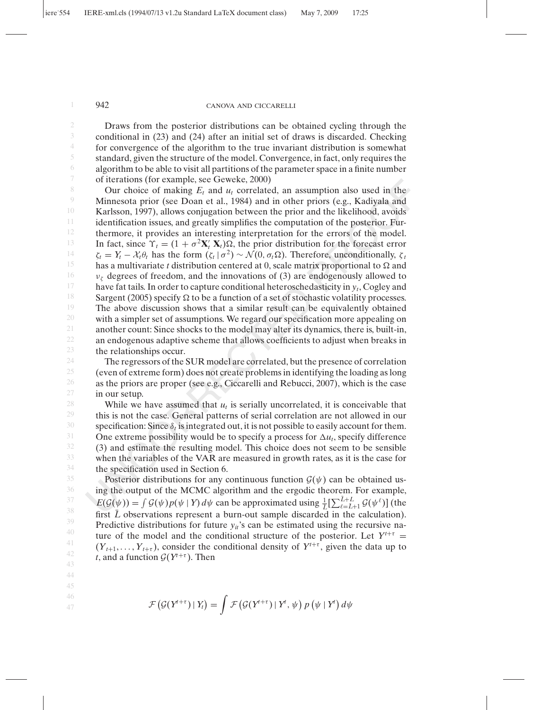Draws from the posterior distributions can be obtained cycling through the conditional in (23) and (24) after an initial set of draws is discarded. Checking for convergence of the algorithm to the true invariant distribution is somewhat standard, given the structure of the model. Convergence, in fact, only requires the algorithm to be able to visit all partitions of the parameter space in a finite number of iterations (for example, see Geweke, 2000)

8 9 10 11 12 13 14 15 16 17 18 19 20 21 22 23 Our choice of making  $E_t$  and  $u_t$  correlated, an assumption also used in the Minnesota prior (see Doan et al., 1984) and in other priors (e.g., Kadiyala and Karlsson, 1997), allows conjugation between the prior and the likelihood, avoids identification issues, and greatly simplifies the computation of the posterior. Furthermore, it provides an interesting interpretation for the errors of the model. In fact, since  $\Upsilon_t = (1 + \sigma^2 \mathbf{X}'_t \mathbf{X}_t) \Omega$ , the prior distribution for the forecast error  $\zeta_t = Y_t - \chi_t \theta_t$  has the form  $(\zeta_t | \sigma^2) \sim \mathcal{N}(0, \sigma_t \Omega)$ . Therefore, unconditionally,  $\zeta_t$ has a multivariate  $t$  distribution centered at 0, scale matrix proportional to  $\Omega$  and  $v<sub>c</sub>$  degrees of freedom, and the innovations of (3) are endogenously allowed to have fat tails. In order to capture conditional heteroschedasticity in *yt*, Cogley and Sargent (2005) specify  $\Omega$  to be a function of a set of stochastic volatility processes. The above discussion shows that a similar result can be equivalently obtained with a simpler set of assumptions. We regard our specification more appealing on another count: Since shocks to the model may alter its dynamics, there is, built-in, an endogenous adaptive scheme that allows coefficients to adjust when breaks in the relationships occur.

24 25 26 27 The regressors of the SUR model are correlated, but the presence of correlation (even of extreme form) does not create problems in identifying the loading as long as the priors are proper (see e.g., Ciccarelli and Rebucci, 2007), which is the case in our setup.

28 29 30 31 32 33 34 35 While we have assumed that  $u_t$  is serially uncorrelated, it is conceivable that this is not the case. General patterns of serial correlation are not allowed in our specification: Since  $\delta_t$  is integrated out, it is not possible to easily account for them. One extreme possibility would be to specify a process for  $\Delta u_t$ , specify difference (3) and estimate the resulting model. This choice does not seem to be sensible when the variables of the VAR are measured in growth rates, as it is the case for the specification used in Section 6.

Posterior distributions for any continuous function  $\mathcal{G}(\psi)$  can be obtained using the output of the MCMC algorithm and the ergodic theorem. For example,  $E(G(\psi)) = \int G(\psi)p(\psi | Y) d\psi$  can be approximated using  $\frac{1}{L}[\sum_{\ell=L+1}^{\bar{L}+L} G(\psi^{\ell})]$  (the first  $\bar{L}$  observations represent a burn-out sample discarded in the calculation). Predictive distributions for future  $y_{it}$ 's can be estimated using the recursive nature of the model and the conditional structure of the posterior. Let  $Y^{t+\tau}$  =  $(Y_{t+1}, \ldots, Y_{t+\tau})$ , consider the conditional density of  $Y^{t+\tau}$ , given the data up to *t*, and a function  $\mathcal{G}(Y^{t+\tau})$ . Then

43 46

47

$$
\mathcal{F}\left(\mathcal{G}(Y^{t+\tau})\,|\,Y_t\right) = \int \mathcal{F}\left(\mathcal{G}(Y^{t+\tau})\,|\,Y^t,\,\psi\right)p\left(\psi\,|\,Y^t\right)d\psi
$$

1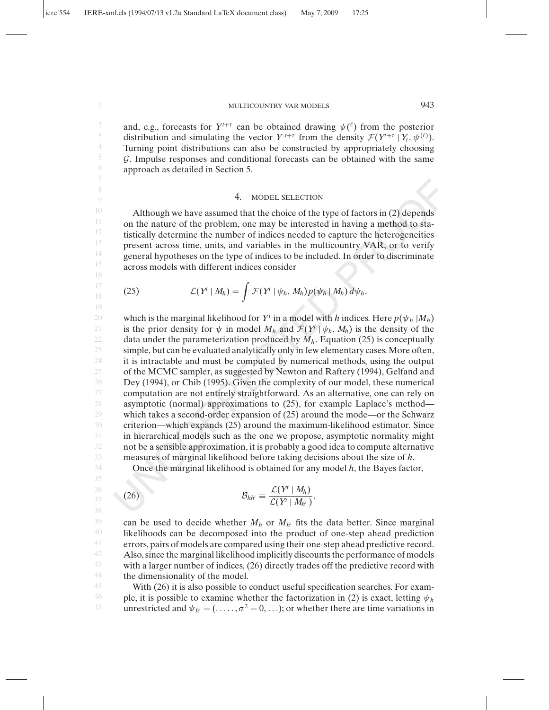and, e.g., forecasts for  $Y^{t+\tau}$  can be obtained drawing  $\psi(\ell)$  from the posterior distribution and simulating the vector  $Y^{t+\tau}$  from the density  $\mathcal{F}(Y^{t+\tau} | Y_t, \psi^{(\ell)})$ . Turning point distributions can also be constructed by appropriately choosing G. Impulse responses and conditional forecasts can be obtained with the same approach as detailed in Section 5.

### 4. MODEL SELECTION

Although we have assumed that the choice of the type of factors in (2) depends on the nature of the problem, one may be interested in having a method to statistically determine the number of indices needed to capture the heterogeneities present across time, units, and variables in the multicountry VAR, or to verify general hypotheses on the type of indices to be included. In order to discriminate across models with different indices consider

(25) 
$$
\mathcal{L}(Y^t \mid M_h) = \int \mathcal{F}(Y^t \mid \psi_h, M_h) p(\psi_h \mid M_h) d\psi_h,
$$

which is the marginal likelihood for  $Y^t$  in a model with *h* indices. Here  $p(\psi_h | M_h)$ is the prior density for  $\psi$  in model  $M_h$  and  $\mathcal{F}(Y^t | \psi_h, M_h)$  is the density of the data under the parameterization produced by  $M_h$ . Equation (25) is conceptually simple, but can be evaluated analytically only in few elementary cases. More often, it is intractable and must be computed by numerical methods, using the output of the MCMC sampler, as suggested by Newton and Raftery (1994), Gelfand and Dey (1994), or Chib (1995). Given the complexity of our model, these numerical computation are not entirely straightforward. As an alternative, one can rely on asymptotic (normal) approximations to (25), for example Laplace's method which takes a second-order expansion of (25) around the mode—or the Schwarz criterion—which expands (25) around the maximum-likelihood estimator. Since in hierarchical models such as the one we propose, asymptotic normality might not be a sensible approximation, it is probably a good idea to compute alternative measures of marginal likelihood before taking decisions about the size of *h*.

Once the marginal likelihood is obtained for any model *h*, the Bayes factor,

(26) 
$$
\mathcal{B}_{hh'} \equiv \frac{\mathcal{L}(Y^t \mid M_h)}{\mathcal{L}(Y^t \mid M_{h'})},
$$

can be used to decide whether  $M_h$  or  $M_{h'}$  fits the data better. Since marginal likelihoods can be decomposed into the product of one-step ahead prediction errors, pairs of models are compared using their one-step ahead predictive record. Also, since the marginal likelihood implicitly discounts the performance of models with a larger number of indices, (26) directly trades off the predictive record with the dimensionality of the model.

With (26) it is also possible to conduct useful specification searches. For example, it is possible to examine whether the factorization in (2) is exact, letting  $\psi_h$ unrestricted and  $\psi_{h'} = (\ldots, \sigma^2 = 0, \ldots)$ ; or whether there are time variations in

1

3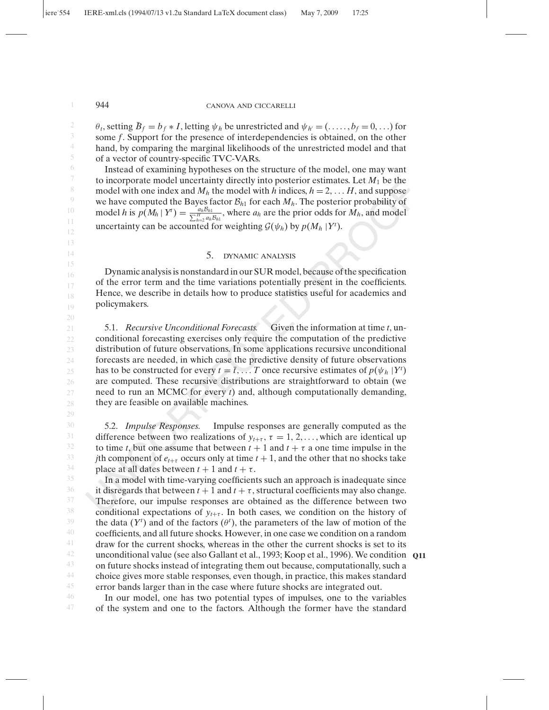$\theta_t$ , setting  $\bar{B}_f = b_f * I$ , letting  $\psi_h$  be unrestricted and  $\psi_{h'} = (\ldots, b_f = 0, \ldots)$  for some *f*. Support for the presence of interdependencies is obtained, on the other hand, by comparing the marginal likelihoods of the unrestricted model and that of a vector of country-specific TVC-VARs.

Instead of examining hypotheses on the structure of the model, one may want to incorporate model uncertainty directly into posterior estimates. Let *M*<sup>1</sup> be the model with one index and  $M_h$  the model with h indices,  $h = 2, \ldots H$ , and suppose we have computed the Bayes factor  $B_{h1}$  for each  $M_h$ . The posterior probability of model *h* is  $p(M_h | Y^t) = \frac{a_h B_{h1}}{\sum_{h=2}^H a_h B_{h1}}$ , where  $a_h$  are the prior odds for  $M_h$ , and model uncertainty can be accounted for weighting  $G(\psi_h)$  by  $p(M_h | Y^t)$ .

# 5. DYNAMIC ANALYSIS

Dynamic analysis is nonstandard in our SUR model, because of the specification of the error term and the time variations potentially present in the coefficients. Hence, we describe in details how to produce statistics useful for academics and policymakers.

5.1. *Recursive Unconditional Forecasts.* Given the information at time *t*, unconditional forecasting exercises only require the computation of the predictive distribution of future observations. In some applications recursive unconditional forecasts are needed, in which case the predictive density of future observations has to be constructed for every  $t = \overline{t}$ , ... *T* once recursive estimates of  $p(\psi_h | Y^t)$ are computed. These recursive distributions are straightforward to obtain (we need to run an MCMC for every *t*) and, although computationally demanding, they are feasible on available machines.

5.2. *Impulse Responses.* Impulse responses are generally computed as the difference between two realizations of  $y_{t+\tau}$ ,  $\tau = 1, 2, \ldots$ , which are identical up to time *t*, but one assume that between  $t + 1$  and  $t + \tau$  a one time impulse in the *j*th component of  $e_{t+\tau}$  occurs only at time  $t + 1$ , and the other that no shocks take place at all dates between  $t + 1$  and  $t + \tau$ .

In a model with time-varying coefficients such an approach is inadequate since it disregards that between  $t + 1$  and  $t + \tau$ , structural coefficients may also change. Therefore, our impulse responses are obtained as the difference between two conditional expectations of  $y_{t+\tau}$ . In both cases, we condition on the history of the data  $(Y<sup>t</sup>)$  and of the factors  $(\theta<sup>t</sup>)$ , the parameters of the law of motion of the coefficients, and all future shocks. However, in one case we condition on a random draw for the current shocks, whereas in the other the current shocks is set to its unconditional value (see also Gallant et al., 1993; Koop et al., 1996). We condition **Q11** on future shocks instead of integrating them out because, computationally, such a choice gives more stable responses, even though, in practice, this makes standard error bands larger than in the case where future shocks are integrated out.

46 47 In our model, one has two potential types of impulses, one to the variables of the system and one to the factors. Although the former have the standard

1

2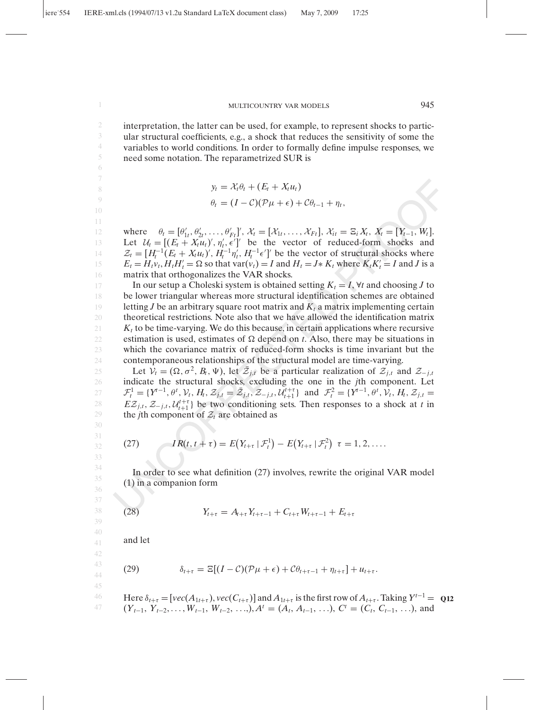interpretation, the latter can be used, for example, to represent shocks to particular structural coefficients, e.g., a shock that reduces the sensitivity of some the variables to world conditions. In order to formally define impulse responses, we need some notation. The reparametrized SUR is

$$
y_t = \mathcal{X}_t \theta_t + (E_t + X_t u_t)
$$
  
\n
$$
\theta_t = (I - C)(\mathcal{P}\mu + \epsilon) + C\theta_{t-1} + \eta_t,
$$

where  $\theta_t = [\theta'_{1t}, \theta'_{2t}, \dots, \theta'_{Ft}]'$ ,  $\mathcal{X}_t = [\mathcal{X}_{1t}, \dots, \mathcal{X}_{Ft}], \mathcal{X}_{it} = \mathbb{E}_i X_t, X_t = [Y_{t-1}, W_t]$ . Let  $U_t = [(E_t + X_t u_t)', \eta'_t, \epsilon']'$  be the vector of reduced-form shocks and  $Z_t = [H_t^{-1}(E_t + X_t u_t)', H_t^{-1} \eta'_t, H_t^{-1} \epsilon']'$  be the vector of structural shocks where  $E_t = H_t v_t$ ,  $H_t H'_t = \Omega$  so that var $(v_t) = I$  and  $H_t = J * K_t$  where  $K_t K'_t = I$  and *J* is a matrix that orthogonalizes the VAR shocks.

In our setup a Choleski system is obtained setting  $K_t = I$ ,  $\forall t$  and choosing *J* to be lower triangular whereas more structural identification schemes are obtained letting *J* be an arbitrary square root matrix and  $K_t$  a matrix implementing certain theoretical restrictions. Note also that we have allowed the identification matrix  $K_t$  to be time-varying. We do this because, in certain applications where recursive estimation is used, estimates of  $\Omega$  depend on *t*. Also, there may be situations in which the covariance matrix of reduced-form shocks is time invariant but the contemporaneous relationships of the structural model are time-varying.

Let  $V_t = (\Omega, \sigma^2, B_t, \Psi)$ , let  $\overline{Z}_{j,t}$  be a particular realization of  $Z_{j,t}$  and  $Z_{-j,t}$ indicate the structural shocks, excluding the one in the *j*th component. Let  $\mathcal{F}^1_t = \{Y^{t-1}, \theta^t, \mathcal{V}_t, H_t, \mathcal{Z}_{j,t} = \bar{\mathcal{Z}}_{j,t}, \mathcal{Z}_{-j,t}, \mathcal{U}^{t+\tau}_{t+1}\}\$ and  $\mathcal{F}^2_t = \{Y^{t-1}, \theta^t, \mathcal{V}_t, H_t, \mathcal{Z}_{j,t} =$  $EZ_{j,t}$ ,  $Z_{-j,t}$ ,  $U_{t+1}^{t+\tau}$  be two conditioning sets. Then responses to a shock at *t* in the *j*th component of  $Z_t$  are obtained as

(27) 
$$
IR(t, t + \tau) = E(Y_{t+\tau} | \mathcal{F}_t^1) - E(Y_{t+\tau} | \mathcal{F}_t^2) \tau = 1, 2, ....
$$

In order to see what definition (27) involves, rewrite the original VAR model (1) in a companion form

(28) 
$$
Y_{t+\tau} = A_{t+\tau} Y_{t+\tau-1} + C_{t+\tau} W_{t+\tau-1} + E_{t+\tau}
$$

and let

1

3

5 6

9

36

38 39 40

45

(29) 
$$
\delta_{t+\tau} = \Xi[(I-\mathcal{C})(\mathcal{P}\mu+\epsilon)+\mathcal{C}\theta_{t+\tau-1}+\eta_{t+\tau}] + u_{t+\tau}.
$$

46 47 Here  $\delta_{t+\tau} = [vec(A_{1t+\tau}), vec(C_{t+\tau})]$  and  $A_{1t+\tau}$  is the first row of  $A_{t+\tau}$ . Taking  $Y^{t-1} = \mathbf{Q12}$  $(Y_{t-1}, Y_{t-2}, \ldots, W_{t-1}, W_{t-2}, \ldots), A^t = (A_t, A_{t-1}, \ldots), C^t = (C_t, C_{t-1}, \ldots)$ , and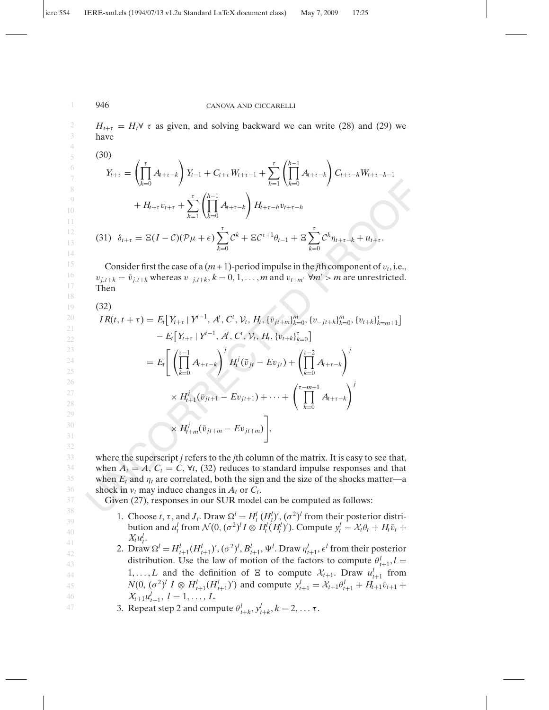$H_{t+\tau} = H_t \forall \tau$  as given, and solving backward we can write (28) and (29) we

have  $Y_{t+\tau} =$  $\int_0^{\tau}$ *k*=0  $A_{t+\tau-k}$  $\bigg(Y_{t-1} + C_{t+\tau} W_{t+\tau-1} + \sum_{i=1}^{\tau}$ *h*=1  $\int_{0}^{h-1}$ *k*=0  $A_{t+\tau-k}$  $\setminus$  $C_{t+\tau-h}W_{t+\tau-h-1}$ +  $H_{t+\tau}v_{t+\tau} + \sum_{\tau}$  $\int_{0}^{h-1}$  $A_{t+\tau-k}$  $\setminus$  $H_{t+\tau-h}v_{t+\tau-h}$ (30)

$$
h=1 \quad k=0
$$
\n
$$
(31) \quad \delta_{t+\tau} = \Xi(I-\mathcal{C})(\mathcal{P}\mu+\epsilon) \sum_{k=0}^{\tau} \mathcal{C}^k + \Xi \mathcal{C}^{\tau+1} \theta_{t-1} + \Xi \sum_{k=0}^{\tau} \mathcal{C}^k \eta_{t+\tau-k} + u_{t+\tau}.
$$

Consider first the case of a  $(m + 1)$ -period impulse in the *j*th component of  $v_t$ , i.e.,  $v_{j,t+k} = \bar{v}_{j,t+k}$  whereas  $v_{-j,t+k}$ ,  $k = 0, 1, \ldots, m$  and  $v_{t+m'}$   $\forall m' > m$  are unrestricted. Then

(32)

34

45 46 47

$$
IR(t, t + \tau) = E_t[Y_{t+\tau} | Y^{t-1}, A^t, C^t, V_t, H_t, {\{\bar{v}_{jt+m}\}}_{k=0}^m, {\{v_{-jt+k}\}}_{k=0}^m, {\{v_{t+k}\}}_{k=m+1}^{\tau}]
$$
  
\n
$$
- E_t[Y_{t+\tau} | Y^{t-1}, A^t, C^t, V_t, H_t, {\{v_{t+k}\}}_{k=0}^{\tau}]
$$
  
\n
$$
= E_t\left[\left(\prod_{k=0}^{\tau-1} A_{t+\tau-k}\right)^j H_t^j(\bar{v}_{jt} - E v_{jt}) + \left(\prod_{k=0}^{\tau-2} A_{t+\tau-k}\right)^j\right]
$$
  
\n
$$
\times H_{t+1}^j(\bar{v}_{jt+1} - E v_{jt+1}) + \dots + \left(\prod_{k=0}^{\tau-m-1} A_{t+\tau-k}\right)^j
$$
  
\n
$$
\times H_{t+m}^j(\bar{v}_{jt+m} - E v_{jt+m})\right],
$$

where the superscript *j* refers to the *j*th column of the matrix. It is easy to see that, when  $A_t = A$ ,  $C_t = C$ ,  $\forall t$ , (32) reduces to standard impulse responses and that when  $E_t$  and  $\eta_t$  are correlated, both the sign and the size of the shocks matter—a shock in  $v_t$  may induce changes in  $A_t$  or  $C_t$ .

Given (27), responses in our SUR model can be computed as follows:

- 1. Choose *t*,  $\tau$ , and  $J_t$ . Draw  $\Omega^l = H^l_t(H^l_t)'$ ,  $(\sigma^2)^l$  from their posterior distribution and  $u_t^l$  from  $\mathcal{N}(0, (\sigma^2)^l I \otimes H_t^l (H_t^l)')$ . Compute  $y_t^l = \mathcal{X}_t \theta_t + H_t \bar{v}_t +$  $X_t u_t^l$ .
- 2. Draw  $\Omega^l = H^l_{t+1}(H^l_{t+1})'$ ,  $(\sigma^2)^l$ ,  $B^l_{t+1}$ ,  $\Psi^l$ . Draw  $\eta^l_{t+1}$ ,  $\epsilon^l$  from their posterior distribution. Use the law of motion of the factors to compute  $\theta_{t+1}^l$ ,  $l =$ 1,..., *L* and the definition of  $\Xi$  to compute  $\mathcal{X}_{t+1}$ . Draw  $u_{t+1}^l$  from  $N(0, (\sigma^2)^l I \otimes H_{t+1}^l (H_{t+1}^l)')$  and compute  $y_{t+1}^l = \mathcal{X}_{t+1} \theta_{t+1}^l + H_{t+1} \bar{v}_{t+1} +$  $X_{t+1}u_{t+1}^l, l=1,\ldots,L.$
- 3. Repeat step 2 and compute  $\theta_{t+k}^l, y_{t+k}^l, k = 2, \ldots \tau$ .

1

2

4

6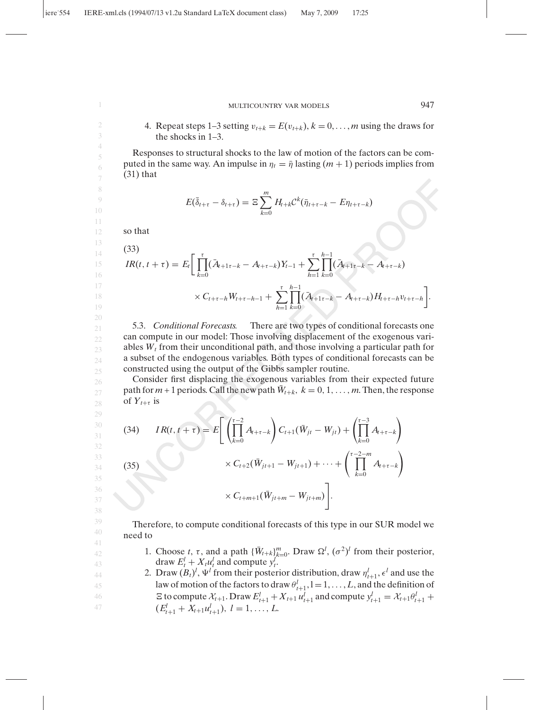4. Repeat steps 1–3 setting  $v_{t+k} = E(v_{t+k}), k = 0, \ldots, m$  using the draws for the shocks in 1–3.

Responses to structural shocks to the law of motion of the factors can be computed in the same way. An impulse in  $\eta_t = \bar{\eta}$  lasting  $(m + 1)$  periods implies from (31) that

$$
E(\bar{\delta}_{t+\tau} - \delta_{t+\tau}) = \sum_{k=0}^{m} H_{t+k} C^{k}(\bar{\eta}_{t+\tau-k} - E \eta_{t+\tau-k})
$$

so that

1

2 3

38 39 40

42

46 47

(33)  
\n
$$
IR(t, t + \tau) = E_t \Bigg[ \prod_{k=0}^{\tau} (\bar{A}_{t+1\tau-k} - A_{t+\tau-k})Y_{t-1} + \sum_{h=1}^{\tau} \prod_{k=0}^{h-1} (\bar{A}_{t+1\tau-k} - A_{t+\tau-k}) \times C_{t+\tau-h} W_{t+\tau-h-1} + \sum_{h=1}^{\tau} \prod_{k=0}^{h-1} (\bar{A}_{t+1\tau-k} - A_{t+\tau-k}) H_{t+\tau-h} W_{t+\tau-h} \Bigg].
$$

5.3. *Conditional Forecasts.* There are two types of conditional forecasts one can compute in our model: Those involving displacement of the exogenous variables  $W_t$  from their unconditional path, and those involving a particular path for a subset of the endogenous variables. Both types of conditional forecasts can be constructed using the output of the Gibbs sampler routine.

Consider first displacing the exogenous variables from their expected future path for  $m + 1$  periods. Call the new path  $\bar{W}_{t+k}$ ,  $k = 0, 1, \ldots, m$ . Then, the response of  $Y_{t+\tau}$  is

(34) 
$$
IR(t, t + \tau) = E\left[\left(\prod_{k=0}^{\tau-2} A_{t+\tau-k}\right) C_{t+1}(\bar{W}_{jt} - W_{jt}) + \left(\prod_{k=0}^{\tau-3} A_{t+\tau-k}\right) \times C_{t+2}(\bar{W}_{jt+1} - W_{jt+1}) + \cdots + \left(\prod_{k=0}^{\tau-2-m} A_{t+\tau-k}\right) \times C_{t+m+1}(\bar{W}_{jt+m} - W_{jt+m})\right].
$$

Therefore, to compute conditional forecasts of this type in our SUR model we need to

- 1. Choose *t*,  $\tau$ , and a path  ${\{\bar{W}_{t+k}\}}_{k=0}^m$ . Draw  $\Omega^l$ ,  $(\sigma^2)^l$  from their posterior, draw  $E_t^l + X_t u_t^l$  and compute  $y_t^l$ .
- 2. Draw  $(B_t)^l$ ,  $\Psi^l$  from their posterior distribution, draw  $\eta^l_{t+1}$ ,  $\epsilon^l$  and use the law of motion of the factors to draw  $\theta_{t+1}^l$ ,  $l = 1, \ldots, L$ , and the definition of  $\Xi$  to compute  $\mathcal{X}_{t+1}$ . Draw  $E_{t+1}^l + X_{t+1} u_{t+1}^l$  and compute  $y_{t+1}^l = \mathcal{X}_{t+1} \theta_{t+1}^l +$  $(E_{t+1}^l + X_{t+1}u_{t+1}^l), l = 1, ..., L.$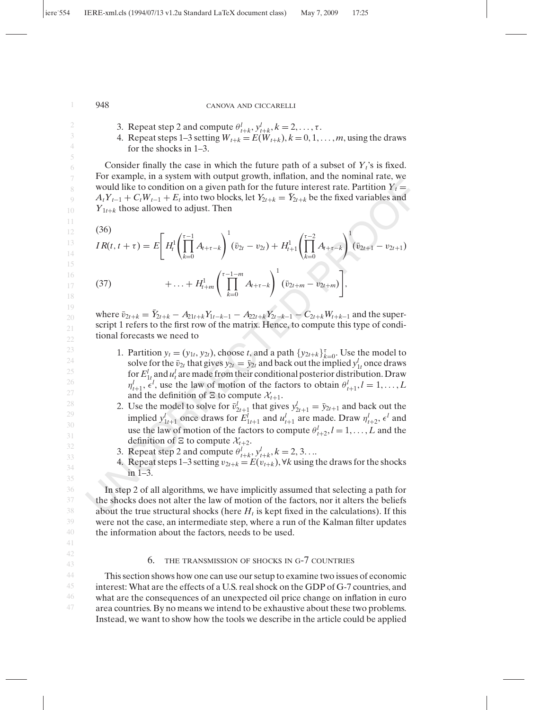- 3. Repeat step 2 and compute  $\theta_{t+k}^l, y_{t+k}^l, k = 2, \ldots, \tau$ .
- 4. Repeat steps 1–3 setting  $W_{t+k} = E(W_{t+k}), k = 0, 1, \ldots, m$ , using the draws for the shocks in 1–3.

Consider finally the case in which the future path of a subset of  $Y_t$ 's is fixed. For example, in a system with output growth, inflation, and the nominal rate, we would like to condition on a given path for the future interest rate. Partition  $Y_t =$  $A_t Y_{t-1} + C_t W_{t-1} + E_t$  into two blocks, let  $Y_{2t+k} = \overline{Y}_{2t+k}$  be the fixed variables and  $Y_{1t+k}$  those allowed to adjust. Then

$$
(36)
$$

$$
IR(t, t + \tau) = E\left[H_t^1\left(\prod_{k=0}^{\tau-1} A_{t+\tau-k}\right)^1(\bar{v}_{2t} - v_{2t}) + H_{t+1}^1\left(\prod_{k=0}^{\tau-2} A_{t+\tau-k}\right)^1(\bar{v}_{2t+1} - v_{2t+1})\right]
$$

(37) 
$$
+ \ldots + H_{t+m}^{1} \left( \prod_{k=0}^{\tau-1-m} A_{t+\tau-k} \right)^{1} (\bar{v}_{2t+m} - v_{2t+m})
$$

 $\bar{v}_{2t+k} = \bar{Y}_{2t+k} - A_{21t+k}Y_{1t-k-1} - A_{22t+k}Y_{2t-k-1} - C_{2t+k}W_{t+k-1}$  and the superscript 1 refers to the first row of the matrix. Hence, to compute this type of conditional forecasts we need to

- 1. Partition  $y_t = (y_{1t}, y_{2t})$ , choose *t*, and a path  $\{y_{2t+k}\}_{k=0}^{\tau}$ . Use the model to solve for the  $\bar{v}_{2t}$  that gives  $y_{2t} = \bar{y}_{2t}$  and back out the implied  $y_{1t}^l$  once draws for  $E^l_{1t}$  and  $u^l_t$  are made from their conditional posterior distribution. Draw  $\eta_{t+1}^l$ ,  $\epsilon^l$ , use the law of motion of the factors to obtain  $\theta_{t+1}^l$ ,  $l = 1, ..., L$ and the definition of  $\Xi$  to compute  $\mathcal{X}_{t+1}$ .
- 2. Use the model to solve for  $\bar{v}_{2t+1}^l$  that gives  $y_{2t+1}^l = \bar{y}_{2t+1}$  and back out the implied  $y_{1t+1}^l$  once draws for  $E_{1t+1}^l$  and  $u_{t+1}^l$  are made. Draw  $\eta_{t+2}^l$ ,  $\epsilon^l$  and use the law of motion of the factors to compute  $\theta_{t+2}^l$ ,  $l = 1, ..., L$  and the definition of  $\Xi$  to compute  $\mathcal{X}_{t+2}$ .
- 3. Repeat step 2 and compute  $\theta_{t+k}^l$ ,  $y_{t+k}^l$ ,  $k = 2, 3, \ldots$
- 4. Repeat steps 1–3 setting  $v_{2t+k} = E(v_{t+k})$ ,  $\forall k$  using the draws for the shocks in 1–3.

In step 2 of all algorithms, we have implicitly assumed that selecting a path for the shocks does not alter the law of motion of the factors, nor it alters the beliefs about the true structural shocks (here  $H_t$  is kept fixed in the calculations). If this were not the case, an intermediate step, where a run of the Kalman filter updates the information about the factors, needs to be used.

## 6. THE TRANSMISSION OF SHOCKS IN G-7 COUNTRIES

45 46 47 This section shows how one can use our setup to examine two issues of economic interest: What are the effects of a U.S. real shock on the GDP of G-7 countries, and what are the consequences of an unexpected oil price change on inflation in euro area countries. By no means we intend to be exhaustive about these two problems. Instead, we want to show how the tools we describe in the article could be applied

1

2

4

6

8 9

12 13

15 16 17

27

29

31 32

35

37 38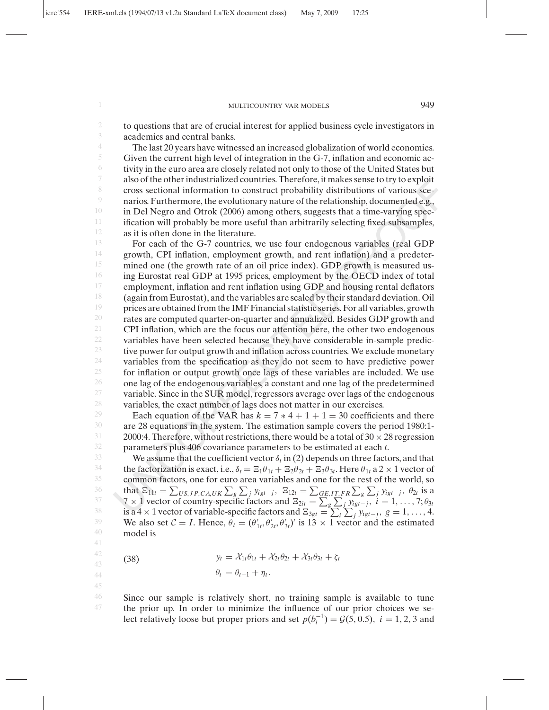2 3

38 39 40

45 46 47

# MULTICOUNTRY VAR MODELS 949

to questions that are of crucial interest for applied business cycle investigators in academics and central banks.

The last 20 years have witnessed an increased globalization of world economies. Given the current high level of integration in the G-7, inflation and economic activity in the euro area are closely related not only to those of the United States but also of the other industrialized countries. Therefore, it makes sense to try to exploit cross sectional information to construct probability distributions of various scenarios. Furthermore, the evolutionary nature of the relationship, documented e.g., in Del Negro and Otrok (2006) among others, suggests that a time-varying specification will probably be more useful than arbitrarily selecting fixed subsamples, as it is often done in the literature.

For each of the G-7 countries, we use four endogenous variables (real GDP growth, CPI inflation, employment growth, and rent inflation) and a predetermined one (the growth rate of an oil price index). GDP growth is measured using Eurostat real GDP at 1995 prices, employment by the OECD index of total employment, inflation and rent inflation using GDP and housing rental deflators (again from Eurostat), and the variables are scaled by their standard deviation. Oil prices are obtained from the IMF Financial statistic series. For all variables, growth rates are computed quarter-on-quarter and annualized. Besides GDP growth and CPI inflation, which are the focus our attention here, the other two endogenous variables have been selected because they have considerable in-sample predictive power for output growth and inflation across countries. We exclude monetary variables from the specification as they do not seem to have predictive power for inflation or output growth once lags of these variables are included. We use one lag of the endogenous variables, a constant and one lag of the predetermined variable. Since in the SUR model, regressors average over lags of the endogenous variables, the exact number of lags does not matter in our exercises.

Each equation of the VAR has  $k = 7 * 4 + 1 + 1 = 30$  coefficients and there are 28 equations in the system. The estimation sample covers the period 1980:1- 2000:4. Therefore, without restrictions, there would be a total of  $30 \times 28$  regression parameters plus 406 covariance parameters to be estimated at each *t*.

We assume that the coefficient vector  $\delta_t$  in (2) depends on three factors, and that the factorization is exact, i.e.,  $\delta_t = \Xi_1 \theta_{1t} + \Xi_2 \theta_{2t} + \Xi_3 \theta_{3t}$ . Here  $\theta_{1t}$  a 2 × 1 vector of common factors, one for euro area variables and one for the rest of the world, so that  $\Xi_{11t} = \sum_{US, JP,CA,UK} \sum_{g} \sum_{j} y_{igt-j}$ ,  $\Xi_{12t} = \sum_{GE,IT,FR} \sum_{g} \sum_{j} y_{igt-j}$ ,  $\theta_{2t}$  is a 7 × 1 vector of country-specific factors and  $\Xi_{2it} = \sum_{g} \sum_{j} y_{igt-j}$ ,  $i = 1, ..., 7; \theta_{3it}$ is a 4 × 1 vector of variable-specific factors and  $\Xi_{3gt} = \sum_i \sum_j y_{igt-j}, g = 1, ..., 4$ . We also set  $C = I$ . Hence,  $\theta_t = (\theta'_{1t}, \theta'_{2t}, \theta'_{3t})'$  is  $13 \times 1$  vector and the estimated model is

(38) 
$$
y_t = \mathcal{X}_{1t}\theta_{1t} + \mathcal{X}_{2t}\theta_{2t} + \mathcal{X}_{3t}\theta_{3t} + \zeta_t
$$

$$
\theta_t = \theta_{t-1} + \eta_t.
$$

Since our sample is relatively short, no training sample is available to tune the prior up. In order to minimize the influence of our prior choices we select relatively loose but proper priors and set  $p(b_i^{-1}) = \mathcal{G}(5, 0.5), i = 1, 2, 3$  and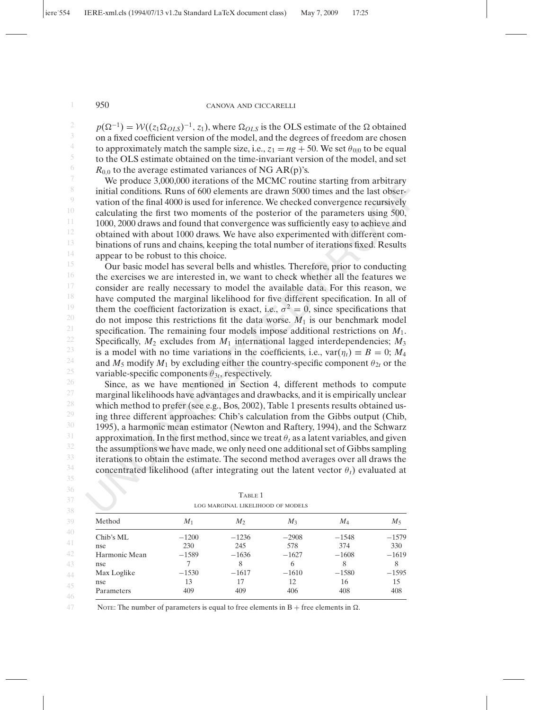$p(\Omega^{-1}) = \mathcal{W}((z_1 \Omega_{OLS})^{-1}, z_1)$ , where  $\Omega_{OLS}$  is the OLS estimate of the  $\Omega$  obtained on a fixed coefficient version of the model, and the degrees of freedom are chosen to approximately match the sample size, i.e.,  $z_1 = ng + 50$ . We set  $\theta_{010}$  to be equal to the OLS estimate obtained on the time-invariant version of the model, and set  $R_{0.0}$  to the average estimated variances of NG AR(p)'s.

We produce 3,000,000 iterations of the MCMC routine starting from arbitrary initial conditions. Runs of 600 elements are drawn 5000 times and the last observation of the final 4000 is used for inference. We checked convergence recursively calculating the first two moments of the posterior of the parameters using 500, 1000, 2000 draws and found that convergence was sufficiently easy to achieve and obtained with about 1000 draws. We have also experimented with different combinations of runs and chains, keeping the total number of iterations fixed. Results appear to be robust to this choice.

15 16 17 18 19 20 21 22 23 24 25 26 Our basic model has several bells and whistles. Therefore, prior to conducting the exercises we are interested in, we want to check whether all the features we consider are really necessary to model the available data. For this reason, we have computed the marginal likelihood for five different specification. In all of them the coefficient factorization is exact, i.e.,  $\sigma^2 = 0$ , since specifications that do not impose this restrictions fit the data worse.  $M_1$  is our benchmark model specification. The remaining four models impose additional restrictions on *M*1. Specifically,  $M_2$  excludes from  $M_1$  international lagged interdependencies;  $M_3$ is a model with no time variations in the coefficients, i.e.,  $var(\eta_t) \equiv B = 0$ ;  $M_4$ and  $M_5$  modify  $M_1$  by excluding either the country-specific component  $\theta_{2t}$  or the variable-specific components  $\theta_{3t}$ , respectively.

27 28 29 30 31 32 33 34 35 Since, as we have mentioned in Section 4, different methods to compute marginal likelihoods have advantages and drawbacks, and it is empirically unclear which method to prefer (see e.g., Bos, 2002), Table 1 presents results obtained using three different approaches: Chib's calculation from the Gibbs output (Chib, 1995), a harmonic mean estimator (Newton and Raftery, 1994), and the Schwarz approximation. In the first method, since we treat  $\theta_t$  as a latent variables, and given the assumptions we have made, we only need one additional set of Gibbs sampling iterations to obtain the estimate. The second method averages over all draws the concentrated likelihood (after integrating out the latent vector  $\theta_t$ ) evaluated at

|               | .<br>LOG MARGINAL LIKELIHOOD OF MODELS |                |         |         |         |  |
|---------------|----------------------------------------|----------------|---------|---------|---------|--|
| Method        | $M_1$                                  | M <sub>2</sub> | $M_3$   | $M_{4}$ | $M_5$   |  |
| Chib's ML     | $-1200$                                | $-1236$        | $-2908$ | $-1548$ | $-1579$ |  |
| nse           | 230                                    | 245            | 578     | 374     | 330     |  |
| Harmonic Mean | $-1589$                                | $-1636$        | $-1627$ | $-1608$ | $-1619$ |  |
| nse           |                                        | 8              | 6       | 8       | 8       |  |
| Max Loglike   | $-1530$                                | $-1617$        | $-1610$ | $-1580$ | $-1595$ |  |
| nse           | 13                                     | 17             | 12      | 16      | 15      |  |
| Parameters    | 409                                    | 409            | 406     | 408     | 408     |  |

TABLE 1

47 NOTE: The number of parameters is equal to free elements in  $B$  + free elements in  $\Omega$ .

1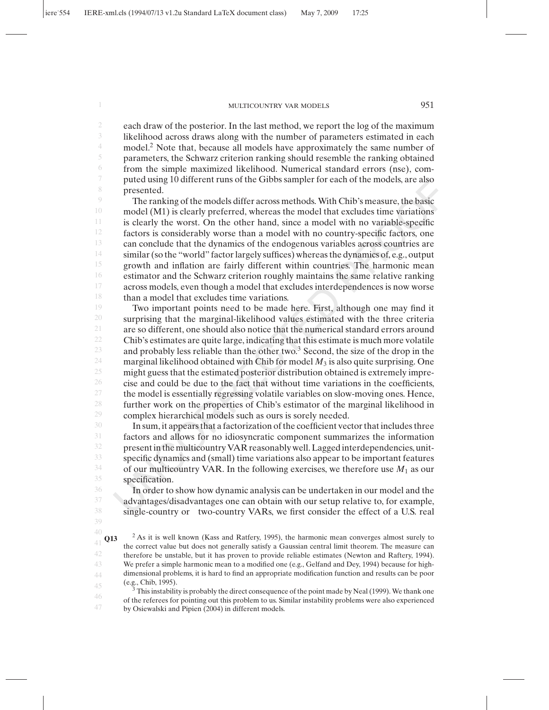each draw of the posterior. In the last method, we report the log of the maximum likelihood across draws along with the number of parameters estimated in each model.2 Note that, because all models have approximately the same number of parameters, the Schwarz criterion ranking should resemble the ranking obtained from the simple maximized likelihood. Numerical standard errors (nse), computed using 10 different runs of the Gibbs sampler for each of the models, are also presented.

The ranking of the models differ across methods. With Chib's measure, the basic model (M1) is clearly preferred, whereas the model that excludes time variations is clearly the worst. On the other hand, since a model with no variable-specific factors is considerably worse than a model with no country-specific factors, one can conclude that the dynamics of the endogenous variables across countries are similar (so the "world" factor largely suffices) whereas the dynamics of, e.g., output growth and inflation are fairly different within countries. The harmonic mean estimator and the Schwarz criterion roughly maintains the same relative ranking across models, even though a model that excludes interdependences is now worse than a model that excludes time variations.

Two important points need to be made here. First, although one may find it surprising that the marginal-likelihood values estimated with the three criteria are so different, one should also notice that the numerical standard errors around Chib's estimates are quite large, indicating that this estimate is much more volatile and probably less reliable than the other two.<sup>3</sup> Second, the size of the drop in the marginal likelihood obtained with Chib for model  $M_3$  is also quite surprising. One might guess that the estimated posterior distribution obtained is extremely imprecise and could be due to the fact that without time variations in the coefficients, the model is essentially regressing volatile variables on slow-moving ones. Hence, further work on the properties of Chib's estimator of the marginal likelihood in complex hierarchical models such as ours is sorely needed.

In sum, it appears that a factorization of the coefficient vector that includes three factors and allows for no idiosyncratic component summarizes the information present in the multicountry VAR reasonably well. Lagged interdependencies, unitspecific dynamics and (small) time variations also appear to be important features of our multicountry VAR. In the following exercises, we therefore use  $M_1$  as our specification.

In order to show how dynamic analysis can be undertaken in our model and the advantages/disadvantages one can obtain with our setup relative to, for example, single-country or two-country VARs, we first consider the effect of a U.S. real

38 39 40

42

45 46 47

1

2 3

 $_{41}$  Q13 <sup>2</sup> As it is well known (Kass and Ratfery, 1995), the harmonic mean converges almost surely to the correct value but does not generally satisfy a Gaussian central limit theorem. The measure can therefore be unstable, but it has proven to provide reliable estimates (Newton and Raftery, 1994). We prefer a simple harmonic mean to a modified one (e.g., Gelfand and Dey, 1994) because for highdimensional problems, it is hard to find an appropriate modification function and results can be poor  $(e.g., Chib, 1995).$ 

This instability is probably the direct consequence of the point made by Neal (1999). We thank one of the referees for pointing out this problem to us. Similar instability problems were also experienced by Osiewalski and Pipien (2004) in different models.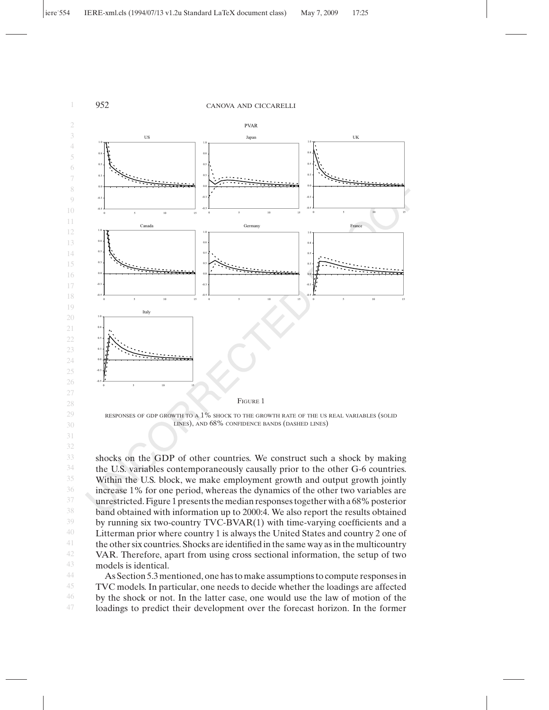1



RESPONSES OF GDP GROWTH TO A 1% SHOCK TO THE GROWTH RATE OF THE US REAL VARIABLES (SOLID LINES), AND 68% CONFIDENCE BANDS (DASHED LINES)

shocks on the GDP of other countries. We construct such a shock by making the U.S. variables contemporaneously causally prior to the other G-6 countries. Within the U.S. block, we make employment growth and output growth jointly increase 1% for one period, whereas the dynamics of the other two variables are unrestricted. Figure 1 presents the median responses together with a 68% posterior band obtained with information up to 2000:4. We also report the results obtained by running six two-country TVC-BVAR(1) with time-varying coefficients and a Litterman prior where country 1 is always the United States and country 2 one of the other six countries. Shocks are identified in the same way as in the multicountry VAR. Therefore, apart from using cross sectional information, the setup of two models is identical.

44 45 46 47 As Section 5.3 mentioned, one has to make assumptions to compute responses in TVC models. In particular, one needs to decide whether the loadings are affected by the shock or not. In the latter case, one would use the law of motion of the loadings to predict their development over the forecast horizon. In the former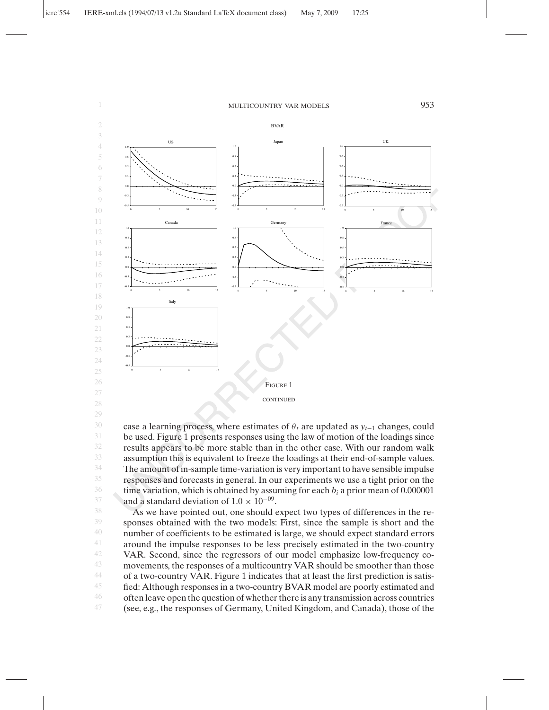45 46 47 MULTICOUNTRY VAR MODELS 953



case a learning process, where estimates of  $\theta_t$  are updated as  $y_{t-1}$  changes, could be used. Figure 1 presents responses using the law of motion of the loadings since results appears to be more stable than in the other case. With our random walk assumption this is equivalent to freeze the loadings at their end-of-sample values. The amount of in-sample time-variation is very important to have sensible impulse responses and forecasts in general. In our experiments we use a tight prior on the time variation, which is obtained by assuming for each  $b_i$  a prior mean of  $0.000001$ and a standard deviation of  $1.0 \times 10^{-09}$ .

As we have pointed out, one should expect two types of differences in the responses obtained with the two models: First, since the sample is short and the number of coefficients to be estimated is large, we should expect standard errors around the impulse responses to be less precisely estimated in the two-country VAR. Second, since the regressors of our model emphasize low-frequency comovements, the responses of a multicountry VAR should be smoother than those of a two-country VAR. Figure 1 indicates that at least the first prediction is satisfied: Although responses in a two-country BVAR model are poorly estimated and often leave open the question of whether there is any transmission across countries (see, e.g., the responses of Germany, United Kingdom, and Canada), those of the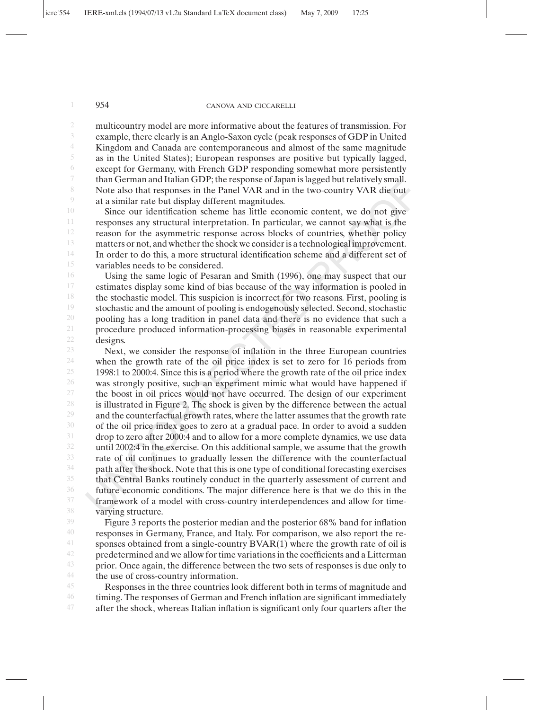multicountry model are more informative about the features of transmission. For example, there clearly is an Anglo-Saxon cycle (peak responses of GDP in United Kingdom and Canada are contemporaneous and almost of the same magnitude as in the United States); European responses are positive but typically lagged, except for Germany, with French GDP responding somewhat more persistently than German and Italian GDP; the response of Japan is lagged but relatively small. Note also that responses in the Panel VAR and in the two-country VAR die out at a similar rate but display different magnitudes.

10 11 12 13 14 15 Since our identification scheme has little economic content, we do not give responses any structural interpretation. In particular, we cannot say what is the reason for the asymmetric response across blocks of countries, whether policy matters or not, and whether the shock we consider is a technological improvement. In order to do this, a more structural identification scheme and a different set of variables needs to be considered.

16 17 18 19 20 21 22 Using the same logic of Pesaran and Smith (1996), one may suspect that our estimates display some kind of bias because of the way information is pooled in the stochastic model. This suspicion is incorrect for two reasons. First, pooling is stochastic and the amount of pooling is endogenously selected. Second, stochastic pooling has a long tradition in panel data and there is no evidence that such a procedure produced information-processing biases in reasonable experimental designs.

23 24 25 26 27 28 29 30 31 32 33 34 35 36 37 38 Next, we consider the response of inflation in the three European countries when the growth rate of the oil price index is set to zero for 16 periods from 1998:1 to 2000:4. Since this is a period where the growth rate of the oil price index was strongly positive, such an experiment mimic what would have happened if the boost in oil prices would not have occurred. The design of our experiment is illustrated in Figure 2. The shock is given by the difference between the actual and the counterfactual growth rates, where the latter assumes that the growth rate of the oil price index goes to zero at a gradual pace. In order to avoid a sudden drop to zero after 2000:4 and to allow for a more complete dynamics, we use data until 2002:4 in the exercise. On this additional sample, we assume that the growth rate of oil continues to gradually lessen the difference with the counterfactual path after the shock. Note that this is one type of conditional forecasting exercises that Central Banks routinely conduct in the quarterly assessment of current and future economic conditions. The major difference here is that we do this in the framework of a model with cross-country interdependences and allow for timevarying structure.

39 40 41 42 43 44 Figure 3 reports the posterior median and the posterior 68% band for inflation responses in Germany, France, and Italy. For comparison, we also report the responses obtained from a single-country BVAR(1) where the growth rate of oil is predetermined and we allow for time variations in the coefficients and a Litterman prior. Once again, the difference between the two sets of responses is due only to the use of cross-country information.

45 46 47 Responses in the three countries look different both in terms of magnitude and timing. The responses of German and French inflation are significant immediately after the shock, whereas Italian inflation is significant only four quarters after the

1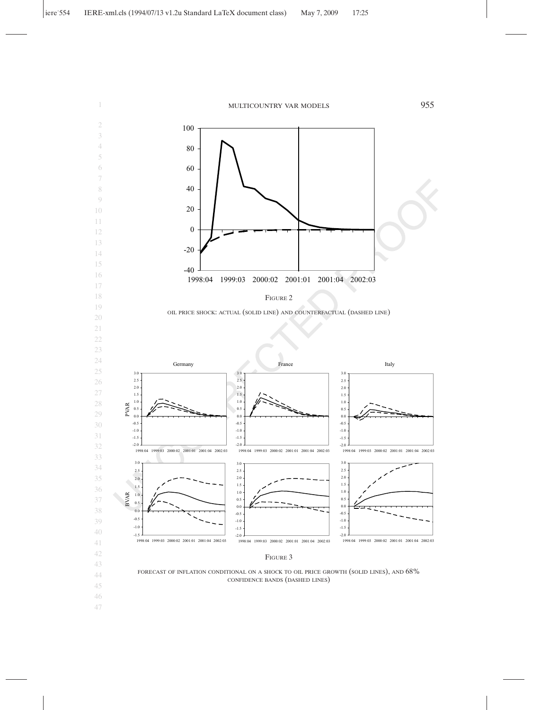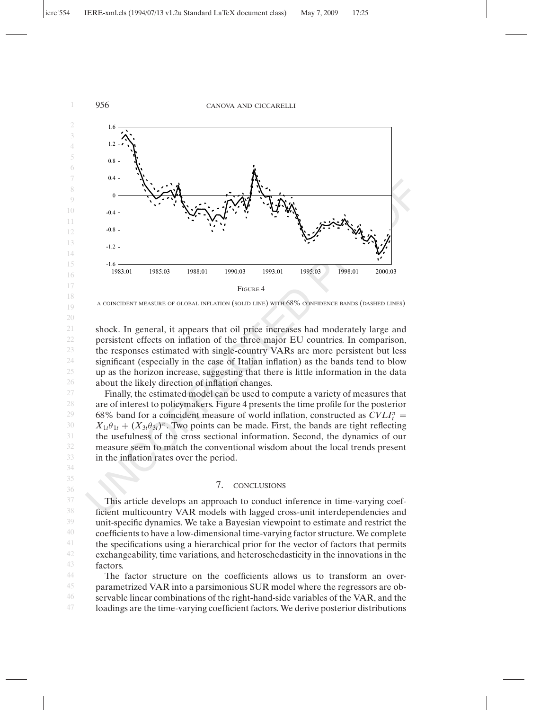

A COINCIDENT MEASURE OF GLOBAL INFLATION (SOLID LINE) WITH 68% CONFIDENCE BANDS (DASHED LINES)

shock. In general, it appears that oil price increases had moderately large and persistent effects on inflation of the three major EU countries. In comparison, the responses estimated with single-country VARs are more persistent but less significant (especially in the case of Italian inflation) as the bands tend to blow up as the horizon increase, suggesting that there is little information in the data about the likely direction of inflation changes.

Finally, the estimated model can be used to compute a variety of measures that are of interest to policymakers. Figure 4 presents the time profile for the posterior 68% band for a coincident measure of world inflation, constructed as  $CVLI_t^{\pi}$  =  $X_{1t}\theta_{1t} + (X_{3t}\theta_{3t})^{\pi}$ . Two points can be made. First, the bands are tight reflecting the usefulness of the cross sectional information. Second, the dynamics of our measure seem to match the conventional wisdom about the local trends present in the inflation rates over the period.

#### 7. CONCLUSIONS

This article develops an approach to conduct inference in time-varying coefficient multicountry VAR models with lagged cross-unit interdependencies and unit-specific dynamics. We take a Bayesian viewpoint to estimate and restrict the coefficients to have a low-dimensional time-varying factor structure. We complete the specifications using a hierarchical prior for the vector of factors that permits exchangeability, time variations, and heteroschedasticity in the innovations in the factors.

44 45 46 47 The factor structure on the coefficients allows us to transform an overparametrized VAR into a parsimonious SUR model where the regressors are observable linear combinations of the right-hand-side variables of the VAR, and the loadings are the time-varying coefficient factors. We derive posterior distributions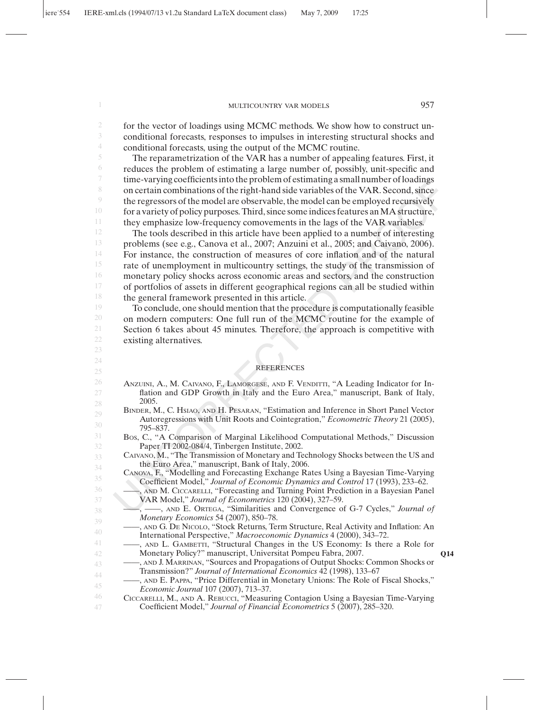3

38 39 40

42

## MULTICOUNTRY VAR MODELS 957

for the vector of loadings using MCMC methods. We show how to construct unconditional forecasts, responses to impulses in interesting structural shocks and conditional forecasts, using the output of the MCMC routine.

The reparametrization of the VAR has a number of appealing features. First, it reduces the problem of estimating a large number of, possibly, unit-specific and time-varying coefficients into the problem of estimating a small number of loadings on certain combinations of the right-hand side variables of the VAR. Second, since the regressors of the model are observable, the model can be employed recursively for a variety of policy purposes. Third, since some indices features an MA structure, they emphasize low-frequency comovements in the lags of the VAR variables.

The tools described in this article have been applied to a number of interesting problems (see e.g., Canova et al., 2007; Anzuini et al., 2005; and Caivano, 2006). For instance, the construction of measures of core inflation and of the natural rate of unemployment in multicountry settings, the study of the transmission of monetary policy shocks across economic areas and sectors, and the construction of portfolios of assets in different geographical regions can all be studied within the general framework presented in this article.

To conclude, one should mention that the procedure is computationally feasible on modern computers: One full run of the MCMC routine for the example of Section 6 takes about 45 minutes. Therefore, the approach is competitive with existing alternatives.

#### REFERENCES

- ANZUINI, A., M. CAIVANO, F., LAMORGESE, AND F. VENDITTI, "A Leading Indicator for Inflation and GDP Growth in Italy and the Euro Area," manuscript, Bank of Italy, 2005.
- BINDER, M., C. HSIAO, AND H. PESARAN, "Estimation and Inference in Short Panel Vector Autoregressions with Unit Roots and Cointegration," *Econometric Theory* 21 (2005), 795–837.
- BOS, C., "A Comparison of Marginal Likelihood Computational Methods," Discussion Paper TI 2002-084/4, Tinbergen Institute, 2002.
- CAIVANO, M., "The Transmission of Monetary and Technology Shocks between the US and the Euro Area," manuscript, Bank of Italy, 2006.
- CANOVA, F., "Modelling and Forecasting Exchange Rates Using a Bayesian Time-Varying Coefficient Model," *Journal of Economic Dynamics and Control* 17 (1993), 233–62.
- ——, AND M. CICCARELLI, "Forecasting and Turning Point Prediction in a Bayesian Panel VAR Model," *Journal of Econometrics* 120 (2004), 327–59.
- ——, ——, AND E. ORTEGA, "Similarities and Convergence of G-7 Cycles," *Journal of Monetary Economics* 54 (2007), 850–78.
- ——, AND G. DE NICOLO, "Stock Returns, Term Structure, Real Activity and Inflation: An International Perspective," *Macroeconomic Dynamics* 4 (2000), 343–72.
- ——, AND L. GAMBETTI, "Structural Changes in the US Economy: Is there a Role for Monetary Policy?" manuscript, Universitat Pompeu Fabra, 2007. **Q14**
	-
	- ——, AND J. MARRINAN, "Sources and Propagations of Output Shocks: Common Shocks or Transmission?" *Journal of International Economics* 42 (1998), 133–67
- ——, AND E. PAPPA, "Price Differential in Monetary Unions: The Role of Fiscal Shocks," *Economic Journal* 107 (2007), 713–37.
- 46 47 CICCARELLI, M., AND A. REBUCCI, "Measuring Contagion Using a Bayesian Time-Varying Coefficient Model," *Journal of Financial Econometrics* 5 (2007), 285–320.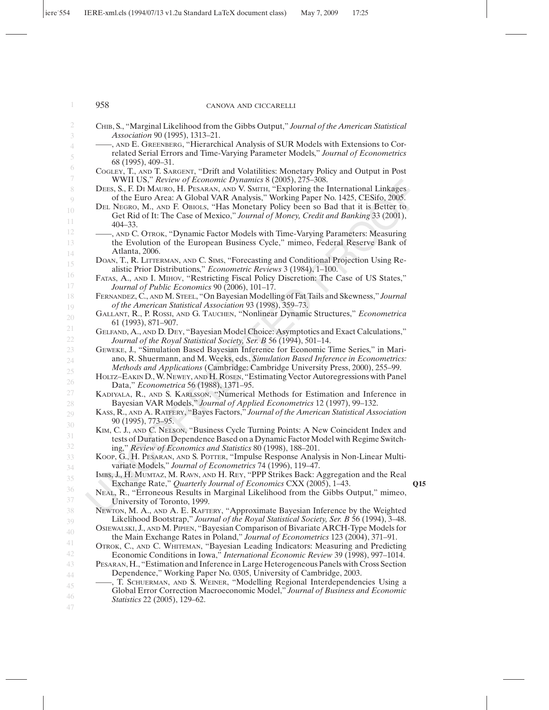958 CANOVA AND CICCARELLI

| $^{2}$ | CHIB, S., "Marginal Likelihood from the Gibbs Output," Journal of the American Statistical                                                                             |     |
|--------|------------------------------------------------------------------------------------------------------------------------------------------------------------------------|-----|
| 3      | Association 90 (1995), 1313-21.                                                                                                                                        |     |
| 4      | -, AND E. GREENBERG, "Hierarchical Analysis of SUR Models with Extensions to Cor-                                                                                      |     |
| 5      | related Serial Errors and Time-Varying Parameter Models," Journal of Econometrics<br>68 (1995), 409–31.                                                                |     |
| 6      | COGLEY, T., AND T. SARGENT, "Drift and Volatilities: Monetary Policy and Output in Post                                                                                |     |
| 7      | WWII US," Review of Economic Dynamics 8 (2005), 275–308.                                                                                                               |     |
| 8      | DEES, S., F. DI MAURO, H. PESARAN, AND V. SMITH, "Exploring the International Linkages                                                                                 |     |
| 9      | of the Euro Area: A Global VAR Analysis," Working Paper No. 1425, CESifo, 2005.                                                                                        |     |
| 10     | DEL NEGRO, M., AND F. OBIOLS, "Has Monetary Policy been so Bad that it is Better to                                                                                    |     |
| 11     | Get Rid of It: The Case of Mexico," Journal of Money, Credit and Banking 33 (2001),                                                                                    |     |
| 12     | $404 - 33.$                                                                                                                                                            |     |
|        | -, AND C. OTROK, "Dynamic Factor Models with Time-Varying Parameters: Measuring                                                                                        |     |
| 13     | the Evolution of the European Business Cycle," mimeo, Federal Reserve Bank of<br>Atlanta, 2006.                                                                        |     |
| 14     | DOAN, T., R. LITTERMAN, AND C. SIMS, "Forecasting and Conditional Projection Using Re-                                                                                 |     |
| 15     | alistic Prior Distributions," Econometric Reviews 3 (1984), 1-100.                                                                                                     |     |
| 16     | FATAS, A., AND I. MIHOV, "Restricting Fiscal Policy Discretion: The Case of US States,"                                                                                |     |
| 17     | Journal of Public Economics 90 (2006), 101-17.                                                                                                                         |     |
| 18     | FERNANDEZ, C., AND M. STEEL, "On Bayesian Modelling of Fat Tails and Skewness," Journal                                                                                |     |
| 19     | of the American Statistical Association 93 (1998), 359-73.                                                                                                             |     |
| 20     | GALLANT, R., P. ROSSI, AND G. TAUCHEN, "Nonlinear Dynamic Structures," Econometrica                                                                                    |     |
| 21     | 61 (1993), 871–907.<br>GELFAND, A., AND D. DEY, "Bayesian Model Choice: Asymptotics and Exact Calculations,"                                                           |     |
| 22     | Journal of the Royal Statistical Society, Ser. B 56 (1994), 501-14.                                                                                                    |     |
| 23     | GEWEKE, J., "Simulation Based Bayesian Inference for Economic Time Series," in Mari-                                                                                   |     |
| 24     | ano, R. Shuermann, and M. Weeks, eds., Simulation Based Inference in Econometrics:                                                                                     |     |
| $25\,$ | <i>Methods and Applications</i> (Cambridge: Cambridge University Press, 2000), 255–99.                                                                                 |     |
| $26\,$ | HOLTZ-EAKIN D., W. NEWEY, AND H. ROSEN, "Estimating Vector Autoregressions with Panel                                                                                  |     |
|        | Data," <i>Econometrica</i> 56 (1988), 1371–95.                                                                                                                         |     |
| $27\,$ | KADIYALA, R., AND S. KARLSSON, "Numerical Methods for Estimation and Inference in                                                                                      |     |
| 28     | Bayesian VAR Models," Journal of Applied Econometrics 12 (1997), 99-132.<br>KASS, R., AND A. RATFERY, "Bayes Factors," Journal of the American Statistical Association |     |
| 29     | 90 (1995), 773–95.                                                                                                                                                     |     |
| $30\,$ | KIM, C. J., AND C. NELSON, "Business Cycle Turning Points: A New Coincident Index and                                                                                  |     |
| 31     | tests of Duration Dependence Based on a Dynamic Factor Model with Regime Switch-                                                                                       |     |
| 32     | ing," Review of Economics and Statistics 80 (1998), 188-201.                                                                                                           |     |
| 33     | KOOP, G., H. PESARAN, AND S. POTTER, "Impulse Response Analysis in Non-Linear Multi-                                                                                   |     |
| 34     | variate Models," Journal of Econometrics 74 (1996), 119-47.                                                                                                            |     |
| 35     | IMBS, J., H. MUMTAZ, M. RAVN, AND H. REY, "PPP Strikes Back: Aggregation and the Real<br>Exchange Rate," Quarterly Journal of Economics CXX (2005), 1-43.              |     |
| 36     | NEAL, R., "Erroneous Results in Marginal Likelihood from the Gibbs Output," mimeo,                                                                                     | Q15 |
| 37     | University of Toronto, 1999.                                                                                                                                           |     |
| 38     | NEWTON, M. A., AND A. E. RAFTERY, "Approximate Bayesian Inference by the Weighted                                                                                      |     |
| 39     | Likelihood Bootstrap," Journal of the Royal Statistical Society, Ser. B 56 (1994), 3-48.                                                                               |     |
| 40     | OSIEWALSKI, J., AND M. PIPIEN, "Bayesian Comparison of Bivariate ARCH-Type Models for                                                                                  |     |
| 41     | the Main Exchange Rates in Poland," Journal of Econometrics 123 (2004), 371–91.                                                                                        |     |
|        | OTROK, C., AND C. WHITEMAN, "Bayesian Leading Indicators: Measuring and Predicting                                                                                     |     |
| 42     | Economic Conditions in Iowa," International Economic Review 39 (1998), 997-1014.                                                                                       |     |
| 43     | PESARAN, H., "Estimation and Inference in Large Heterogeneous Panels with Cross Section<br>Dependence," Working Paper No. 0305, University of Cambridge, 2003.         |     |
| 44     | -, T. SCHUERMAN, AND S. WEINER, "Modelling Regional Interdependencies Using a                                                                                          |     |
| 45     | Global Error Correction Macroeconomic Model," Journal of Business and Economic                                                                                         |     |
| 46     | Statistics 22 (2005), 129-62.                                                                                                                                          |     |
| 47     |                                                                                                                                                                        |     |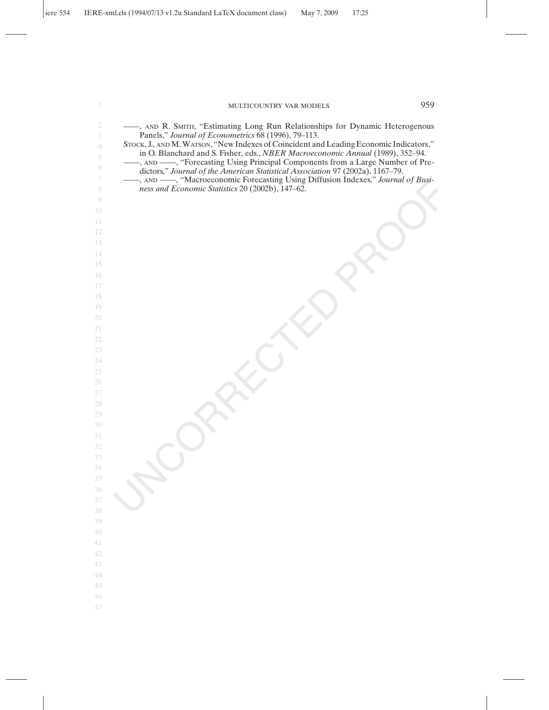MULTICOUNTRY VAR MODELS 959

 AND R. SMITH, "Estimating Long Run Relationships for Dynamic Heterogenous Panels," *Journal of Econometrics* 68 (1996), 79–113. STOCK, J., AND M. WATSON, "New Indexes of Coincident and Leading Economic Indicators," in O. Blanchard and S. Fisher, eds., *NBER Macroeconomic Annual* (1989), 352–94. ——, AND ——, "Forecasting Using Principal Components from a Large Number of Predictors," *Journal of the American Statistical Association* 97 (2002a), 1167–79. ——, AND ——, "Macroeconomic Forecasting Using Diffusion Indexes," *Journal of Business and Economic Statistics* 20 (2002b), 147–62.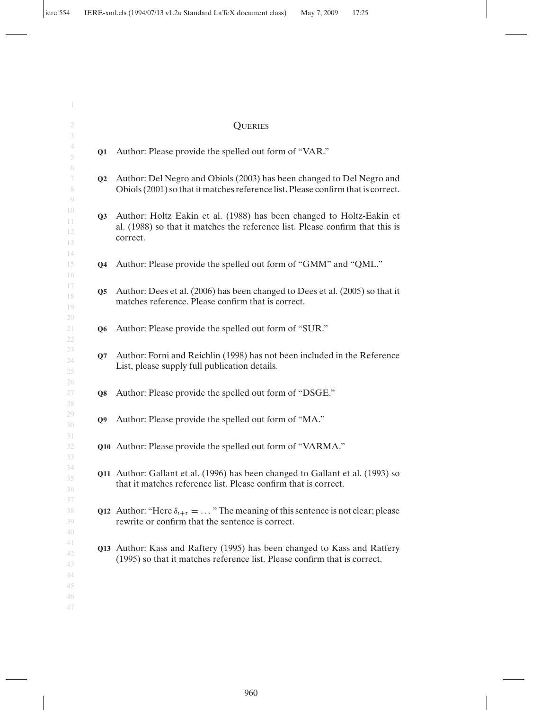|                         | <b>QUERIES</b>                                                                                                                                                    |
|-------------------------|-------------------------------------------------------------------------------------------------------------------------------------------------------------------|
| <b>Q1</b>               | Author: Please provide the spelled out form of "VAR."                                                                                                             |
| Q <sub>2</sub>          | Author: Del Negro and Obiols (2003) has been changed to Del Negro and<br>Obiols (2001) so that it matches reference list. Please confirm that is correct.         |
| Q3                      | Author: Holtz Eakin et al. (1988) has been changed to Holtz-Eakin et<br>al. (1988) so that it matches the reference list. Please confirm that this is<br>correct. |
| Q <sub>4</sub>          | Author: Please provide the spelled out form of "GMM" and "QML."                                                                                                   |
| $\overline{\textbf{O}}$ | Author: Dees et al. (2006) has been changed to Dees et al. (2005) so that it<br>matches reference. Please confirm that is correct.                                |
| Q6                      | Author: Please provide the spelled out form of "SUR."                                                                                                             |
| 07                      | Author: Forni and Reichlin (1998) has not been included in the Reference<br>List, please supply full publication details.                                         |
| Q8                      | Author: Please provide the spelled out form of "DSGE."                                                                                                            |
| $\mathbf{Q}$            | Author: Please provide the spelled out form of "MA."                                                                                                              |
|                         | Q10 Author: Please provide the spelled out form of "VARMA."                                                                                                       |
|                         | Q11 Author: Gallant et al. (1996) has been changed to Gallant et al. (1993) so<br>that it matches reference list. Please confirm that is correct.                 |
|                         | Q12 Author: "Here $\delta_{t+\tau} = \ldots$ " The meaning of this sentence is not clear; please<br>rewrite or confirm that the sentence is correct.              |
|                         | Q13 Author: Kass and Raftery (1995) has been changed to Kass and Ratfery<br>(1995) so that it matches reference list. Please confirm that is correct.             |